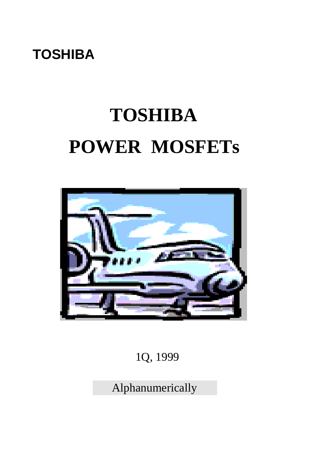## **TOSHIBA**

# **TOSHIBA POWER MOSFETs**



### 1Q, 1999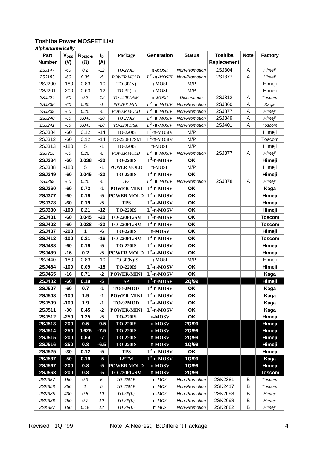| <b>Number</b><br>(V)<br>Replacement<br>$($ <sup><math>\mathbf{\mathsf{W}}</math></sup><br>(A)<br>0.2<br>2SJ304<br>$\boldsymbol{\mathsf{A}}$<br>2SJ147<br>TO-220IS<br>$-60$<br>$-12$<br>p-MOSII<br>Non-Promotion<br>Himeji<br>$L^2$ - p - <i>MOSIII</i><br>2SJ377<br>A<br>2SJ183<br>$-60$<br>0.35<br>$-5$<br>Non-Promotion<br>POWER MOLD<br>Himeji<br>$-10$<br>M/P<br>2SJ200<br>$-180$<br>0.83<br>$TO-3P(N)$<br>$\pi$ -MOSII<br>Himeji<br>$-12$<br>M/P<br>2SJ201<br>$-200$<br>0.63<br>$TO-3P(L)$<br>$\pi$ -MOSII<br>Himeji<br>2SJ312<br>2SJ224<br>0.2<br>Α<br>-60<br>$-12$<br>TO-220FL/SM<br>p-MOSII<br><b>Discontinue</b><br>Toscom<br>$L^2$ - p - <i>MOSIV</i><br>2SJ360<br>A<br>2SJ238<br>$-60$<br>0.85<br>$-1$<br>Non-Promotion<br>POWER-MINI<br>Kaga<br>$L^2$ - p - <i>MOSIV</i><br>2SJ377<br>A<br>2SJ239<br>0.25<br>$-60$<br>$-5$<br>POWER MOLD<br>Non-Promotion<br>Himeji<br>$L^2$ - p - <i>MOSIV</i><br>2SJ349<br>A<br>2SJ240<br>0.045<br>$-20$<br>TO-220IS<br>Non-Promotion<br>-60<br>Himeji<br>$L^2$ - p - <i>MOSIV</i><br>2SJ241<br>2SJ401<br>A<br>$-60$<br>0.045<br>$-20$<br>Non-Promotion<br>TO-220FL/SM<br>Toscom<br>$L^2$ - $\pi$ -MOSIV<br>$-14$<br>M/P<br>2SJ304<br>$-60$<br>0.12<br><b>TO-220IS</b><br>Himeji<br>$L^2\text{-}\pi\text{-MOSIV}$<br>$-60$<br>$-14$<br>M/P<br>2SJ312<br>0.12<br>TO-220FL/SM<br>Toscom<br>5<br>2SJ313<br>$-180$<br>M/P<br>$-1$<br><b>TO-220IS</b><br>Himeji<br>$\pi$ -MOSII<br>$L^2$ - p - <i>MOSIV</i><br>0.25<br>2SJ377<br>$\mathsf A$<br>2SJ315<br>$-5$<br>Non-Promotion<br>POWER MOLD<br>-60<br>Himeji<br>$L^2$ -p-MOSV<br>2SJ334<br>$-30$<br>OK<br>$-60$<br>0.038<br><b>TO-220IS</b><br>Himeji<br>5<br>$-1$<br>M/P<br>2SJ338<br>$-180$<br>POWER MOLD<br>$\pi$ -MOSII<br>Himeji<br>$L^2$ -p-MOSV<br>0.045<br>OK<br>2SJ349<br>$-60$<br>$-20$<br><b>TO-220IS</b><br>Himeji<br>$L^2$ - p - <i>MOSIV</i><br>2SJ378<br>2SJ359<br>0.25<br>$T\!P\!S$<br>Non-Promotion<br>$-60$<br>$-5$<br>Α<br>Himeji<br>$L^2$ -p-MOSV<br>OK<br><b>2SJ360</b><br>$-1$<br>POWER-MINI<br>$-60$<br>0.73<br>Kaga<br>$L^2$ -p-MOSV<br>OK<br>0.19<br>$-5$<br>2SJ377<br>-60<br><b>POWER MOLD</b><br>Himeji<br>$L^2$ -p-MOSV<br>$-5$<br>OK<br>2SJ378<br>$-60$<br>0.19<br><b>TPS</b><br>Himeji<br>$L^2$ -p-MOSV<br>OK<br>2SJ380<br>0.21<br>$-12$<br><b>TO-220IS</b><br>$-100$<br>Himeji<br>$L^2$ -p-MOSV<br>OK<br>2SJ401<br>$-60$<br>0.045<br>$-20$<br>TO-220FL/SM<br><b>Toscom</b><br>$L^2$ -p-MOSV<br>2SJ402<br>0.038<br>OK<br>$-60$<br>$-30$<br>TO-220FL/SM<br><b>Toscom</b><br>1<br>OK<br>-6<br>2SJ407<br>$-200$<br><b>TO-220IS</b><br>p-MOSV<br>Himeji<br>$L^2$ -p-MOSV<br>OK<br>0.21<br>2SJ412<br>$-100$<br>$-16$<br>TO-220FL/SM<br><b>Toscom</b><br>$L^2$ -p-MOSV<br>OK<br>2SJ438<br>$-60$<br>0.19<br>$-5$<br><b>TO-220IS</b><br>Himeji<br>$\mathbf{L}^2$ -p-MOSV<br>OK<br>2SJ439<br>$-16$<br>0.2<br>$-5$<br><b>POWER MOLD</b><br>Himeji<br>2SJ440<br>0.83<br>$-10$<br>M/P<br>$-180$<br>TO-3P(N)IS<br>Himeji<br>$\pi$ -MOSII<br>$L^2$ -p-MOSV<br>2SJ464<br>$-18$<br><b>TO-220IS</b><br>OK<br>$-100$<br>0.09<br>Himeji<br>$L^2$ -p-MOSV<br>OK<br>2SJ465<br>$-16$<br>0.71<br>$-2$<br><b>POWER-MINI</b><br>Kaga<br>$L^2$ -p-MOSV<br>2SJ482<br>0.19<br>$-5$<br>SP<br>2Q/99<br>$-60$<br>Himeji<br>$L^2$ -p-MOSV<br>$-1$<br>OK<br>2SJ507<br>-60<br>0.7<br>TO-92MOD<br>Kaga<br>$L^2$ -p-MOSV<br><b>2SJ508</b><br><b>POWER-MINI</b><br>OK<br>$-100$<br>1.9<br>-1<br>Kaga<br>$L^2$ -p-MOSV<br>OK<br>2SJ509<br>$-100$<br>1.9<br>$-1$<br>TO-92MOD<br>Kaga<br>$L^2$ -p-MOSV<br>OK<br>2SJ511<br>0.45<br>$-2$<br>$-30$<br><b>POWER-MINI</b><br>Kaga<br>$-5$<br>2SJ512<br>1.25<br>$-250$<br><b>TO-220IS</b><br>OK<br>Himeji<br>p-MOSV<br>2SJ513<br>$-9.5$<br>$-200$<br>0.5<br><b>TO-220IS</b><br>p-MOSV<br>2Q/99<br>Himeji<br>2SJ514<br>$-250$<br>0.625<br>$-7.5$<br>2Q/99<br><b>Himeji</b><br><b>TO-220IS</b><br>p-MOSV<br>2SJ515<br>$-200$<br>0.64<br>2Q/99<br>Himeji<br>$-7$<br><b>TO-220IS</b><br>p-MOSV<br>2SJ516<br>$-250$<br>0.8<br>$-6.5$<br><b>TO-220IS</b><br>1Q/99<br>Himeji<br>p-MOSV<br>$L^2$ -p-MOSV<br>2SJ525<br>0.12<br>$-5$<br>OK<br><b>TPS</b><br>Himeji<br>-30<br>$L^2$ -p-MOSV<br>2SJ537<br>$-50$<br>0.19<br>$-5$<br><b>LSTM</b><br>1Q/99<br>Kaga<br><b>2SJ567</b><br>$-200$<br><b>POWER MOLD</b><br>1Q/99<br>Himeji<br>0.8<br>$-5$<br>p-MOSV<br><b>2SJ568</b><br>$-5$<br>2Q/99<br>$-200$<br>0.8<br>TO-220FL/SM<br>p-MOSV<br><b>Toscom</b><br>2SK357<br>2SK2381<br>В<br>150<br>0.9<br>5<br>TO-220AB<br>Non-Promotion<br>Toscom<br>$p$ - <i>MOS</i><br>2SK2417<br>B<br>2SK358<br>$\mathbf{1}$<br>5<br>Non-Promotion<br>Toscom<br>250<br>TO-220AB<br>$p$ - $MOS$<br>2SK2698<br>B<br>2SK385<br>400<br>0.6<br>10<br>Non-Promotion<br>Himeji<br>$TO-3P(L)$<br>$p$ - $MOS$<br>2SK2698<br>B<br>2SK386<br>0.7<br>10<br>450<br>$TO-3P(L)$<br>$p$ - $MOS$<br>Non-Promotion<br>Himeji | Part   | <b>V<sub>DSS</sub></b> | $R_{DS(ON)}$ | $I_{\mathsf{D}}$ | Package    | Generation  | <b>Status</b> | <b>Toshiba</b> | <b>Note</b> | <b>Factory</b> |
|---------------------------------------------------------------------------------------------------------------------------------------------------------------------------------------------------------------------------------------------------------------------------------------------------------------------------------------------------------------------------------------------------------------------------------------------------------------------------------------------------------------------------------------------------------------------------------------------------------------------------------------------------------------------------------------------------------------------------------------------------------------------------------------------------------------------------------------------------------------------------------------------------------------------------------------------------------------------------------------------------------------------------------------------------------------------------------------------------------------------------------------------------------------------------------------------------------------------------------------------------------------------------------------------------------------------------------------------------------------------------------------------------------------------------------------------------------------------------------------------------------------------------------------------------------------------------------------------------------------------------------------------------------------------------------------------------------------------------------------------------------------------------------------------------------------------------------------------------------------------------------------------------------------------------------------------------------------------------------------------------------------------------------------------------------------------------------------------------------------------------------------------------------------------------------------------------------------------------------------------------------------------------------------------------------------------------------------------------------------------------------------------------------------------------------------------------------------------------------------------------------------------------------------------------------------------------------------------------------------------------------------------------------------------------------------------------------------------------------------------------------------------------------------------------------------------------------------------------------------------------------------------------------------------------------------------------------------------------------------------------------------------------------------------------------------------------------------------------------------------------------------------------------------------------------------------------------------------------------------------------------------------------------------------------------------------------------------------------------------------------------------------------------------------------------------------------------------------------------------------------------------------------------------------------------------------------------------------------------------------------------------------------------------------------------------------------------------------------------------------------------------------------------------------------------------------------------------------------------------------------------------------------------------------------------------------------------------------------------------------------------------------------------------------------------------------------------------------------------------------------------------------------------------------------------------------------------------------------------------------------------------------------------------------------------------------------------------------------------------------------------------------------------------------------------------------------------------------------------------------------------------------------------------------------------------------------------------------------------------------------------------------------------------------------------------------------------------------------------------------------------------------------------------------------------|--------|------------------------|--------------|------------------|------------|-------------|---------------|----------------|-------------|----------------|
|                                                                                                                                                                                                                                                                                                                                                                                                                                                                                                                                                                                                                                                                                                                                                                                                                                                                                                                                                                                                                                                                                                                                                                                                                                                                                                                                                                                                                                                                                                                                                                                                                                                                                                                                                                                                                                                                                                                                                                                                                                                                                                                                                                                                                                                                                                                                                                                                                                                                                                                                                                                                                                                                                                                                                                                                                                                                                                                                                                                                                                                                                                                                                                                                                                                                                                                                                                                                                                                                                                                                                                                                                                                                                                                                                                                                                                                                                                                                                                                                                                                                                                                                                                                                                                                                                                                                                                                                                                                                                                                                                                                                                                                                                                                                                                                                         |        |                        |              |                  |            |             |               |                |             |                |
|                                                                                                                                                                                                                                                                                                                                                                                                                                                                                                                                                                                                                                                                                                                                                                                                                                                                                                                                                                                                                                                                                                                                                                                                                                                                                                                                                                                                                                                                                                                                                                                                                                                                                                                                                                                                                                                                                                                                                                                                                                                                                                                                                                                                                                                                                                                                                                                                                                                                                                                                                                                                                                                                                                                                                                                                                                                                                                                                                                                                                                                                                                                                                                                                                                                                                                                                                                                                                                                                                                                                                                                                                                                                                                                                                                                                                                                                                                                                                                                                                                                                                                                                                                                                                                                                                                                                                                                                                                                                                                                                                                                                                                                                                                                                                                                                         |        |                        |              |                  |            |             |               |                |             |                |
|                                                                                                                                                                                                                                                                                                                                                                                                                                                                                                                                                                                                                                                                                                                                                                                                                                                                                                                                                                                                                                                                                                                                                                                                                                                                                                                                                                                                                                                                                                                                                                                                                                                                                                                                                                                                                                                                                                                                                                                                                                                                                                                                                                                                                                                                                                                                                                                                                                                                                                                                                                                                                                                                                                                                                                                                                                                                                                                                                                                                                                                                                                                                                                                                                                                                                                                                                                                                                                                                                                                                                                                                                                                                                                                                                                                                                                                                                                                                                                                                                                                                                                                                                                                                                                                                                                                                                                                                                                                                                                                                                                                                                                                                                                                                                                                                         |        |                        |              |                  |            |             |               |                |             |                |
|                                                                                                                                                                                                                                                                                                                                                                                                                                                                                                                                                                                                                                                                                                                                                                                                                                                                                                                                                                                                                                                                                                                                                                                                                                                                                                                                                                                                                                                                                                                                                                                                                                                                                                                                                                                                                                                                                                                                                                                                                                                                                                                                                                                                                                                                                                                                                                                                                                                                                                                                                                                                                                                                                                                                                                                                                                                                                                                                                                                                                                                                                                                                                                                                                                                                                                                                                                                                                                                                                                                                                                                                                                                                                                                                                                                                                                                                                                                                                                                                                                                                                                                                                                                                                                                                                                                                                                                                                                                                                                                                                                                                                                                                                                                                                                                                         |        |                        |              |                  |            |             |               |                |             |                |
|                                                                                                                                                                                                                                                                                                                                                                                                                                                                                                                                                                                                                                                                                                                                                                                                                                                                                                                                                                                                                                                                                                                                                                                                                                                                                                                                                                                                                                                                                                                                                                                                                                                                                                                                                                                                                                                                                                                                                                                                                                                                                                                                                                                                                                                                                                                                                                                                                                                                                                                                                                                                                                                                                                                                                                                                                                                                                                                                                                                                                                                                                                                                                                                                                                                                                                                                                                                                                                                                                                                                                                                                                                                                                                                                                                                                                                                                                                                                                                                                                                                                                                                                                                                                                                                                                                                                                                                                                                                                                                                                                                                                                                                                                                                                                                                                         |        |                        |              |                  |            |             |               |                |             |                |
|                                                                                                                                                                                                                                                                                                                                                                                                                                                                                                                                                                                                                                                                                                                                                                                                                                                                                                                                                                                                                                                                                                                                                                                                                                                                                                                                                                                                                                                                                                                                                                                                                                                                                                                                                                                                                                                                                                                                                                                                                                                                                                                                                                                                                                                                                                                                                                                                                                                                                                                                                                                                                                                                                                                                                                                                                                                                                                                                                                                                                                                                                                                                                                                                                                                                                                                                                                                                                                                                                                                                                                                                                                                                                                                                                                                                                                                                                                                                                                                                                                                                                                                                                                                                                                                                                                                                                                                                                                                                                                                                                                                                                                                                                                                                                                                                         |        |                        |              |                  |            |             |               |                |             |                |
|                                                                                                                                                                                                                                                                                                                                                                                                                                                                                                                                                                                                                                                                                                                                                                                                                                                                                                                                                                                                                                                                                                                                                                                                                                                                                                                                                                                                                                                                                                                                                                                                                                                                                                                                                                                                                                                                                                                                                                                                                                                                                                                                                                                                                                                                                                                                                                                                                                                                                                                                                                                                                                                                                                                                                                                                                                                                                                                                                                                                                                                                                                                                                                                                                                                                                                                                                                                                                                                                                                                                                                                                                                                                                                                                                                                                                                                                                                                                                                                                                                                                                                                                                                                                                                                                                                                                                                                                                                                                                                                                                                                                                                                                                                                                                                                                         |        |                        |              |                  |            |             |               |                |             |                |
|                                                                                                                                                                                                                                                                                                                                                                                                                                                                                                                                                                                                                                                                                                                                                                                                                                                                                                                                                                                                                                                                                                                                                                                                                                                                                                                                                                                                                                                                                                                                                                                                                                                                                                                                                                                                                                                                                                                                                                                                                                                                                                                                                                                                                                                                                                                                                                                                                                                                                                                                                                                                                                                                                                                                                                                                                                                                                                                                                                                                                                                                                                                                                                                                                                                                                                                                                                                                                                                                                                                                                                                                                                                                                                                                                                                                                                                                                                                                                                                                                                                                                                                                                                                                                                                                                                                                                                                                                                                                                                                                                                                                                                                                                                                                                                                                         |        |                        |              |                  |            |             |               |                |             |                |
|                                                                                                                                                                                                                                                                                                                                                                                                                                                                                                                                                                                                                                                                                                                                                                                                                                                                                                                                                                                                                                                                                                                                                                                                                                                                                                                                                                                                                                                                                                                                                                                                                                                                                                                                                                                                                                                                                                                                                                                                                                                                                                                                                                                                                                                                                                                                                                                                                                                                                                                                                                                                                                                                                                                                                                                                                                                                                                                                                                                                                                                                                                                                                                                                                                                                                                                                                                                                                                                                                                                                                                                                                                                                                                                                                                                                                                                                                                                                                                                                                                                                                                                                                                                                                                                                                                                                                                                                                                                                                                                                                                                                                                                                                                                                                                                                         |        |                        |              |                  |            |             |               |                |             |                |
|                                                                                                                                                                                                                                                                                                                                                                                                                                                                                                                                                                                                                                                                                                                                                                                                                                                                                                                                                                                                                                                                                                                                                                                                                                                                                                                                                                                                                                                                                                                                                                                                                                                                                                                                                                                                                                                                                                                                                                                                                                                                                                                                                                                                                                                                                                                                                                                                                                                                                                                                                                                                                                                                                                                                                                                                                                                                                                                                                                                                                                                                                                                                                                                                                                                                                                                                                                                                                                                                                                                                                                                                                                                                                                                                                                                                                                                                                                                                                                                                                                                                                                                                                                                                                                                                                                                                                                                                                                                                                                                                                                                                                                                                                                                                                                                                         |        |                        |              |                  |            |             |               |                |             |                |
|                                                                                                                                                                                                                                                                                                                                                                                                                                                                                                                                                                                                                                                                                                                                                                                                                                                                                                                                                                                                                                                                                                                                                                                                                                                                                                                                                                                                                                                                                                                                                                                                                                                                                                                                                                                                                                                                                                                                                                                                                                                                                                                                                                                                                                                                                                                                                                                                                                                                                                                                                                                                                                                                                                                                                                                                                                                                                                                                                                                                                                                                                                                                                                                                                                                                                                                                                                                                                                                                                                                                                                                                                                                                                                                                                                                                                                                                                                                                                                                                                                                                                                                                                                                                                                                                                                                                                                                                                                                                                                                                                                                                                                                                                                                                                                                                         |        |                        |              |                  |            |             |               |                |             |                |
|                                                                                                                                                                                                                                                                                                                                                                                                                                                                                                                                                                                                                                                                                                                                                                                                                                                                                                                                                                                                                                                                                                                                                                                                                                                                                                                                                                                                                                                                                                                                                                                                                                                                                                                                                                                                                                                                                                                                                                                                                                                                                                                                                                                                                                                                                                                                                                                                                                                                                                                                                                                                                                                                                                                                                                                                                                                                                                                                                                                                                                                                                                                                                                                                                                                                                                                                                                                                                                                                                                                                                                                                                                                                                                                                                                                                                                                                                                                                                                                                                                                                                                                                                                                                                                                                                                                                                                                                                                                                                                                                                                                                                                                                                                                                                                                                         |        |                        |              |                  |            |             |               |                |             |                |
|                                                                                                                                                                                                                                                                                                                                                                                                                                                                                                                                                                                                                                                                                                                                                                                                                                                                                                                                                                                                                                                                                                                                                                                                                                                                                                                                                                                                                                                                                                                                                                                                                                                                                                                                                                                                                                                                                                                                                                                                                                                                                                                                                                                                                                                                                                                                                                                                                                                                                                                                                                                                                                                                                                                                                                                                                                                                                                                                                                                                                                                                                                                                                                                                                                                                                                                                                                                                                                                                                                                                                                                                                                                                                                                                                                                                                                                                                                                                                                                                                                                                                                                                                                                                                                                                                                                                                                                                                                                                                                                                                                                                                                                                                                                                                                                                         |        |                        |              |                  |            |             |               |                |             |                |
|                                                                                                                                                                                                                                                                                                                                                                                                                                                                                                                                                                                                                                                                                                                                                                                                                                                                                                                                                                                                                                                                                                                                                                                                                                                                                                                                                                                                                                                                                                                                                                                                                                                                                                                                                                                                                                                                                                                                                                                                                                                                                                                                                                                                                                                                                                                                                                                                                                                                                                                                                                                                                                                                                                                                                                                                                                                                                                                                                                                                                                                                                                                                                                                                                                                                                                                                                                                                                                                                                                                                                                                                                                                                                                                                                                                                                                                                                                                                                                                                                                                                                                                                                                                                                                                                                                                                                                                                                                                                                                                                                                                                                                                                                                                                                                                                         |        |                        |              |                  |            |             |               |                |             |                |
|                                                                                                                                                                                                                                                                                                                                                                                                                                                                                                                                                                                                                                                                                                                                                                                                                                                                                                                                                                                                                                                                                                                                                                                                                                                                                                                                                                                                                                                                                                                                                                                                                                                                                                                                                                                                                                                                                                                                                                                                                                                                                                                                                                                                                                                                                                                                                                                                                                                                                                                                                                                                                                                                                                                                                                                                                                                                                                                                                                                                                                                                                                                                                                                                                                                                                                                                                                                                                                                                                                                                                                                                                                                                                                                                                                                                                                                                                                                                                                                                                                                                                                                                                                                                                                                                                                                                                                                                                                                                                                                                                                                                                                                                                                                                                                                                         |        |                        |              |                  |            |             |               |                |             |                |
|                                                                                                                                                                                                                                                                                                                                                                                                                                                                                                                                                                                                                                                                                                                                                                                                                                                                                                                                                                                                                                                                                                                                                                                                                                                                                                                                                                                                                                                                                                                                                                                                                                                                                                                                                                                                                                                                                                                                                                                                                                                                                                                                                                                                                                                                                                                                                                                                                                                                                                                                                                                                                                                                                                                                                                                                                                                                                                                                                                                                                                                                                                                                                                                                                                                                                                                                                                                                                                                                                                                                                                                                                                                                                                                                                                                                                                                                                                                                                                                                                                                                                                                                                                                                                                                                                                                                                                                                                                                                                                                                                                                                                                                                                                                                                                                                         |        |                        |              |                  |            |             |               |                |             |                |
|                                                                                                                                                                                                                                                                                                                                                                                                                                                                                                                                                                                                                                                                                                                                                                                                                                                                                                                                                                                                                                                                                                                                                                                                                                                                                                                                                                                                                                                                                                                                                                                                                                                                                                                                                                                                                                                                                                                                                                                                                                                                                                                                                                                                                                                                                                                                                                                                                                                                                                                                                                                                                                                                                                                                                                                                                                                                                                                                                                                                                                                                                                                                                                                                                                                                                                                                                                                                                                                                                                                                                                                                                                                                                                                                                                                                                                                                                                                                                                                                                                                                                                                                                                                                                                                                                                                                                                                                                                                                                                                                                                                                                                                                                                                                                                                                         |        |                        |              |                  |            |             |               |                |             |                |
|                                                                                                                                                                                                                                                                                                                                                                                                                                                                                                                                                                                                                                                                                                                                                                                                                                                                                                                                                                                                                                                                                                                                                                                                                                                                                                                                                                                                                                                                                                                                                                                                                                                                                                                                                                                                                                                                                                                                                                                                                                                                                                                                                                                                                                                                                                                                                                                                                                                                                                                                                                                                                                                                                                                                                                                                                                                                                                                                                                                                                                                                                                                                                                                                                                                                                                                                                                                                                                                                                                                                                                                                                                                                                                                                                                                                                                                                                                                                                                                                                                                                                                                                                                                                                                                                                                                                                                                                                                                                                                                                                                                                                                                                                                                                                                                                         |        |                        |              |                  |            |             |               |                |             |                |
|                                                                                                                                                                                                                                                                                                                                                                                                                                                                                                                                                                                                                                                                                                                                                                                                                                                                                                                                                                                                                                                                                                                                                                                                                                                                                                                                                                                                                                                                                                                                                                                                                                                                                                                                                                                                                                                                                                                                                                                                                                                                                                                                                                                                                                                                                                                                                                                                                                                                                                                                                                                                                                                                                                                                                                                                                                                                                                                                                                                                                                                                                                                                                                                                                                                                                                                                                                                                                                                                                                                                                                                                                                                                                                                                                                                                                                                                                                                                                                                                                                                                                                                                                                                                                                                                                                                                                                                                                                                                                                                                                                                                                                                                                                                                                                                                         |        |                        |              |                  |            |             |               |                |             |                |
|                                                                                                                                                                                                                                                                                                                                                                                                                                                                                                                                                                                                                                                                                                                                                                                                                                                                                                                                                                                                                                                                                                                                                                                                                                                                                                                                                                                                                                                                                                                                                                                                                                                                                                                                                                                                                                                                                                                                                                                                                                                                                                                                                                                                                                                                                                                                                                                                                                                                                                                                                                                                                                                                                                                                                                                                                                                                                                                                                                                                                                                                                                                                                                                                                                                                                                                                                                                                                                                                                                                                                                                                                                                                                                                                                                                                                                                                                                                                                                                                                                                                                                                                                                                                                                                                                                                                                                                                                                                                                                                                                                                                                                                                                                                                                                                                         |        |                        |              |                  |            |             |               |                |             |                |
|                                                                                                                                                                                                                                                                                                                                                                                                                                                                                                                                                                                                                                                                                                                                                                                                                                                                                                                                                                                                                                                                                                                                                                                                                                                                                                                                                                                                                                                                                                                                                                                                                                                                                                                                                                                                                                                                                                                                                                                                                                                                                                                                                                                                                                                                                                                                                                                                                                                                                                                                                                                                                                                                                                                                                                                                                                                                                                                                                                                                                                                                                                                                                                                                                                                                                                                                                                                                                                                                                                                                                                                                                                                                                                                                                                                                                                                                                                                                                                                                                                                                                                                                                                                                                                                                                                                                                                                                                                                                                                                                                                                                                                                                                                                                                                                                         |        |                        |              |                  |            |             |               |                |             |                |
|                                                                                                                                                                                                                                                                                                                                                                                                                                                                                                                                                                                                                                                                                                                                                                                                                                                                                                                                                                                                                                                                                                                                                                                                                                                                                                                                                                                                                                                                                                                                                                                                                                                                                                                                                                                                                                                                                                                                                                                                                                                                                                                                                                                                                                                                                                                                                                                                                                                                                                                                                                                                                                                                                                                                                                                                                                                                                                                                                                                                                                                                                                                                                                                                                                                                                                                                                                                                                                                                                                                                                                                                                                                                                                                                                                                                                                                                                                                                                                                                                                                                                                                                                                                                                                                                                                                                                                                                                                                                                                                                                                                                                                                                                                                                                                                                         |        |                        |              |                  |            |             |               |                |             |                |
|                                                                                                                                                                                                                                                                                                                                                                                                                                                                                                                                                                                                                                                                                                                                                                                                                                                                                                                                                                                                                                                                                                                                                                                                                                                                                                                                                                                                                                                                                                                                                                                                                                                                                                                                                                                                                                                                                                                                                                                                                                                                                                                                                                                                                                                                                                                                                                                                                                                                                                                                                                                                                                                                                                                                                                                                                                                                                                                                                                                                                                                                                                                                                                                                                                                                                                                                                                                                                                                                                                                                                                                                                                                                                                                                                                                                                                                                                                                                                                                                                                                                                                                                                                                                                                                                                                                                                                                                                                                                                                                                                                                                                                                                                                                                                                                                         |        |                        |              |                  |            |             |               |                |             |                |
|                                                                                                                                                                                                                                                                                                                                                                                                                                                                                                                                                                                                                                                                                                                                                                                                                                                                                                                                                                                                                                                                                                                                                                                                                                                                                                                                                                                                                                                                                                                                                                                                                                                                                                                                                                                                                                                                                                                                                                                                                                                                                                                                                                                                                                                                                                                                                                                                                                                                                                                                                                                                                                                                                                                                                                                                                                                                                                                                                                                                                                                                                                                                                                                                                                                                                                                                                                                                                                                                                                                                                                                                                                                                                                                                                                                                                                                                                                                                                                                                                                                                                                                                                                                                                                                                                                                                                                                                                                                                                                                                                                                                                                                                                                                                                                                                         |        |                        |              |                  |            |             |               |                |             |                |
|                                                                                                                                                                                                                                                                                                                                                                                                                                                                                                                                                                                                                                                                                                                                                                                                                                                                                                                                                                                                                                                                                                                                                                                                                                                                                                                                                                                                                                                                                                                                                                                                                                                                                                                                                                                                                                                                                                                                                                                                                                                                                                                                                                                                                                                                                                                                                                                                                                                                                                                                                                                                                                                                                                                                                                                                                                                                                                                                                                                                                                                                                                                                                                                                                                                                                                                                                                                                                                                                                                                                                                                                                                                                                                                                                                                                                                                                                                                                                                                                                                                                                                                                                                                                                                                                                                                                                                                                                                                                                                                                                                                                                                                                                                                                                                                                         |        |                        |              |                  |            |             |               |                |             |                |
|                                                                                                                                                                                                                                                                                                                                                                                                                                                                                                                                                                                                                                                                                                                                                                                                                                                                                                                                                                                                                                                                                                                                                                                                                                                                                                                                                                                                                                                                                                                                                                                                                                                                                                                                                                                                                                                                                                                                                                                                                                                                                                                                                                                                                                                                                                                                                                                                                                                                                                                                                                                                                                                                                                                                                                                                                                                                                                                                                                                                                                                                                                                                                                                                                                                                                                                                                                                                                                                                                                                                                                                                                                                                                                                                                                                                                                                                                                                                                                                                                                                                                                                                                                                                                                                                                                                                                                                                                                                                                                                                                                                                                                                                                                                                                                                                         |        |                        |              |                  |            |             |               |                |             |                |
|                                                                                                                                                                                                                                                                                                                                                                                                                                                                                                                                                                                                                                                                                                                                                                                                                                                                                                                                                                                                                                                                                                                                                                                                                                                                                                                                                                                                                                                                                                                                                                                                                                                                                                                                                                                                                                                                                                                                                                                                                                                                                                                                                                                                                                                                                                                                                                                                                                                                                                                                                                                                                                                                                                                                                                                                                                                                                                                                                                                                                                                                                                                                                                                                                                                                                                                                                                                                                                                                                                                                                                                                                                                                                                                                                                                                                                                                                                                                                                                                                                                                                                                                                                                                                                                                                                                                                                                                                                                                                                                                                                                                                                                                                                                                                                                                         |        |                        |              |                  |            |             |               |                |             |                |
|                                                                                                                                                                                                                                                                                                                                                                                                                                                                                                                                                                                                                                                                                                                                                                                                                                                                                                                                                                                                                                                                                                                                                                                                                                                                                                                                                                                                                                                                                                                                                                                                                                                                                                                                                                                                                                                                                                                                                                                                                                                                                                                                                                                                                                                                                                                                                                                                                                                                                                                                                                                                                                                                                                                                                                                                                                                                                                                                                                                                                                                                                                                                                                                                                                                                                                                                                                                                                                                                                                                                                                                                                                                                                                                                                                                                                                                                                                                                                                                                                                                                                                                                                                                                                                                                                                                                                                                                                                                                                                                                                                                                                                                                                                                                                                                                         |        |                        |              |                  |            |             |               |                |             |                |
|                                                                                                                                                                                                                                                                                                                                                                                                                                                                                                                                                                                                                                                                                                                                                                                                                                                                                                                                                                                                                                                                                                                                                                                                                                                                                                                                                                                                                                                                                                                                                                                                                                                                                                                                                                                                                                                                                                                                                                                                                                                                                                                                                                                                                                                                                                                                                                                                                                                                                                                                                                                                                                                                                                                                                                                                                                                                                                                                                                                                                                                                                                                                                                                                                                                                                                                                                                                                                                                                                                                                                                                                                                                                                                                                                                                                                                                                                                                                                                                                                                                                                                                                                                                                                                                                                                                                                                                                                                                                                                                                                                                                                                                                                                                                                                                                         |        |                        |              |                  |            |             |               |                |             |                |
|                                                                                                                                                                                                                                                                                                                                                                                                                                                                                                                                                                                                                                                                                                                                                                                                                                                                                                                                                                                                                                                                                                                                                                                                                                                                                                                                                                                                                                                                                                                                                                                                                                                                                                                                                                                                                                                                                                                                                                                                                                                                                                                                                                                                                                                                                                                                                                                                                                                                                                                                                                                                                                                                                                                                                                                                                                                                                                                                                                                                                                                                                                                                                                                                                                                                                                                                                                                                                                                                                                                                                                                                                                                                                                                                                                                                                                                                                                                                                                                                                                                                                                                                                                                                                                                                                                                                                                                                                                                                                                                                                                                                                                                                                                                                                                                                         |        |                        |              |                  |            |             |               |                |             |                |
|                                                                                                                                                                                                                                                                                                                                                                                                                                                                                                                                                                                                                                                                                                                                                                                                                                                                                                                                                                                                                                                                                                                                                                                                                                                                                                                                                                                                                                                                                                                                                                                                                                                                                                                                                                                                                                                                                                                                                                                                                                                                                                                                                                                                                                                                                                                                                                                                                                                                                                                                                                                                                                                                                                                                                                                                                                                                                                                                                                                                                                                                                                                                                                                                                                                                                                                                                                                                                                                                                                                                                                                                                                                                                                                                                                                                                                                                                                                                                                                                                                                                                                                                                                                                                                                                                                                                                                                                                                                                                                                                                                                                                                                                                                                                                                                                         |        |                        |              |                  |            |             |               |                |             |                |
|                                                                                                                                                                                                                                                                                                                                                                                                                                                                                                                                                                                                                                                                                                                                                                                                                                                                                                                                                                                                                                                                                                                                                                                                                                                                                                                                                                                                                                                                                                                                                                                                                                                                                                                                                                                                                                                                                                                                                                                                                                                                                                                                                                                                                                                                                                                                                                                                                                                                                                                                                                                                                                                                                                                                                                                                                                                                                                                                                                                                                                                                                                                                                                                                                                                                                                                                                                                                                                                                                                                                                                                                                                                                                                                                                                                                                                                                                                                                                                                                                                                                                                                                                                                                                                                                                                                                                                                                                                                                                                                                                                                                                                                                                                                                                                                                         |        |                        |              |                  |            |             |               |                |             |                |
|                                                                                                                                                                                                                                                                                                                                                                                                                                                                                                                                                                                                                                                                                                                                                                                                                                                                                                                                                                                                                                                                                                                                                                                                                                                                                                                                                                                                                                                                                                                                                                                                                                                                                                                                                                                                                                                                                                                                                                                                                                                                                                                                                                                                                                                                                                                                                                                                                                                                                                                                                                                                                                                                                                                                                                                                                                                                                                                                                                                                                                                                                                                                                                                                                                                                                                                                                                                                                                                                                                                                                                                                                                                                                                                                                                                                                                                                                                                                                                                                                                                                                                                                                                                                                                                                                                                                                                                                                                                                                                                                                                                                                                                                                                                                                                                                         |        |                        |              |                  |            |             |               |                |             |                |
|                                                                                                                                                                                                                                                                                                                                                                                                                                                                                                                                                                                                                                                                                                                                                                                                                                                                                                                                                                                                                                                                                                                                                                                                                                                                                                                                                                                                                                                                                                                                                                                                                                                                                                                                                                                                                                                                                                                                                                                                                                                                                                                                                                                                                                                                                                                                                                                                                                                                                                                                                                                                                                                                                                                                                                                                                                                                                                                                                                                                                                                                                                                                                                                                                                                                                                                                                                                                                                                                                                                                                                                                                                                                                                                                                                                                                                                                                                                                                                                                                                                                                                                                                                                                                                                                                                                                                                                                                                                                                                                                                                                                                                                                                                                                                                                                         |        |                        |              |                  |            |             |               |                |             |                |
|                                                                                                                                                                                                                                                                                                                                                                                                                                                                                                                                                                                                                                                                                                                                                                                                                                                                                                                                                                                                                                                                                                                                                                                                                                                                                                                                                                                                                                                                                                                                                                                                                                                                                                                                                                                                                                                                                                                                                                                                                                                                                                                                                                                                                                                                                                                                                                                                                                                                                                                                                                                                                                                                                                                                                                                                                                                                                                                                                                                                                                                                                                                                                                                                                                                                                                                                                                                                                                                                                                                                                                                                                                                                                                                                                                                                                                                                                                                                                                                                                                                                                                                                                                                                                                                                                                                                                                                                                                                                                                                                                                                                                                                                                                                                                                                                         |        |                        |              |                  |            |             |               |                |             |                |
|                                                                                                                                                                                                                                                                                                                                                                                                                                                                                                                                                                                                                                                                                                                                                                                                                                                                                                                                                                                                                                                                                                                                                                                                                                                                                                                                                                                                                                                                                                                                                                                                                                                                                                                                                                                                                                                                                                                                                                                                                                                                                                                                                                                                                                                                                                                                                                                                                                                                                                                                                                                                                                                                                                                                                                                                                                                                                                                                                                                                                                                                                                                                                                                                                                                                                                                                                                                                                                                                                                                                                                                                                                                                                                                                                                                                                                                                                                                                                                                                                                                                                                                                                                                                                                                                                                                                                                                                                                                                                                                                                                                                                                                                                                                                                                                                         |        |                        |              |                  |            |             |               |                |             |                |
|                                                                                                                                                                                                                                                                                                                                                                                                                                                                                                                                                                                                                                                                                                                                                                                                                                                                                                                                                                                                                                                                                                                                                                                                                                                                                                                                                                                                                                                                                                                                                                                                                                                                                                                                                                                                                                                                                                                                                                                                                                                                                                                                                                                                                                                                                                                                                                                                                                                                                                                                                                                                                                                                                                                                                                                                                                                                                                                                                                                                                                                                                                                                                                                                                                                                                                                                                                                                                                                                                                                                                                                                                                                                                                                                                                                                                                                                                                                                                                                                                                                                                                                                                                                                                                                                                                                                                                                                                                                                                                                                                                                                                                                                                                                                                                                                         |        |                        |              |                  |            |             |               |                |             |                |
|                                                                                                                                                                                                                                                                                                                                                                                                                                                                                                                                                                                                                                                                                                                                                                                                                                                                                                                                                                                                                                                                                                                                                                                                                                                                                                                                                                                                                                                                                                                                                                                                                                                                                                                                                                                                                                                                                                                                                                                                                                                                                                                                                                                                                                                                                                                                                                                                                                                                                                                                                                                                                                                                                                                                                                                                                                                                                                                                                                                                                                                                                                                                                                                                                                                                                                                                                                                                                                                                                                                                                                                                                                                                                                                                                                                                                                                                                                                                                                                                                                                                                                                                                                                                                                                                                                                                                                                                                                                                                                                                                                                                                                                                                                                                                                                                         |        |                        |              |                  |            |             |               |                |             |                |
|                                                                                                                                                                                                                                                                                                                                                                                                                                                                                                                                                                                                                                                                                                                                                                                                                                                                                                                                                                                                                                                                                                                                                                                                                                                                                                                                                                                                                                                                                                                                                                                                                                                                                                                                                                                                                                                                                                                                                                                                                                                                                                                                                                                                                                                                                                                                                                                                                                                                                                                                                                                                                                                                                                                                                                                                                                                                                                                                                                                                                                                                                                                                                                                                                                                                                                                                                                                                                                                                                                                                                                                                                                                                                                                                                                                                                                                                                                                                                                                                                                                                                                                                                                                                                                                                                                                                                                                                                                                                                                                                                                                                                                                                                                                                                                                                         |        |                        |              |                  |            |             |               |                |             |                |
|                                                                                                                                                                                                                                                                                                                                                                                                                                                                                                                                                                                                                                                                                                                                                                                                                                                                                                                                                                                                                                                                                                                                                                                                                                                                                                                                                                                                                                                                                                                                                                                                                                                                                                                                                                                                                                                                                                                                                                                                                                                                                                                                                                                                                                                                                                                                                                                                                                                                                                                                                                                                                                                                                                                                                                                                                                                                                                                                                                                                                                                                                                                                                                                                                                                                                                                                                                                                                                                                                                                                                                                                                                                                                                                                                                                                                                                                                                                                                                                                                                                                                                                                                                                                                                                                                                                                                                                                                                                                                                                                                                                                                                                                                                                                                                                                         |        |                        |              |                  |            |             |               |                |             |                |
|                                                                                                                                                                                                                                                                                                                                                                                                                                                                                                                                                                                                                                                                                                                                                                                                                                                                                                                                                                                                                                                                                                                                                                                                                                                                                                                                                                                                                                                                                                                                                                                                                                                                                                                                                                                                                                                                                                                                                                                                                                                                                                                                                                                                                                                                                                                                                                                                                                                                                                                                                                                                                                                                                                                                                                                                                                                                                                                                                                                                                                                                                                                                                                                                                                                                                                                                                                                                                                                                                                                                                                                                                                                                                                                                                                                                                                                                                                                                                                                                                                                                                                                                                                                                                                                                                                                                                                                                                                                                                                                                                                                                                                                                                                                                                                                                         |        |                        |              |                  |            |             |               |                |             |                |
|                                                                                                                                                                                                                                                                                                                                                                                                                                                                                                                                                                                                                                                                                                                                                                                                                                                                                                                                                                                                                                                                                                                                                                                                                                                                                                                                                                                                                                                                                                                                                                                                                                                                                                                                                                                                                                                                                                                                                                                                                                                                                                                                                                                                                                                                                                                                                                                                                                                                                                                                                                                                                                                                                                                                                                                                                                                                                                                                                                                                                                                                                                                                                                                                                                                                                                                                                                                                                                                                                                                                                                                                                                                                                                                                                                                                                                                                                                                                                                                                                                                                                                                                                                                                                                                                                                                                                                                                                                                                                                                                                                                                                                                                                                                                                                                                         |        |                        |              |                  |            |             |               |                |             |                |
|                                                                                                                                                                                                                                                                                                                                                                                                                                                                                                                                                                                                                                                                                                                                                                                                                                                                                                                                                                                                                                                                                                                                                                                                                                                                                                                                                                                                                                                                                                                                                                                                                                                                                                                                                                                                                                                                                                                                                                                                                                                                                                                                                                                                                                                                                                                                                                                                                                                                                                                                                                                                                                                                                                                                                                                                                                                                                                                                                                                                                                                                                                                                                                                                                                                                                                                                                                                                                                                                                                                                                                                                                                                                                                                                                                                                                                                                                                                                                                                                                                                                                                                                                                                                                                                                                                                                                                                                                                                                                                                                                                                                                                                                                                                                                                                                         |        |                        |              |                  |            |             |               |                |             |                |
|                                                                                                                                                                                                                                                                                                                                                                                                                                                                                                                                                                                                                                                                                                                                                                                                                                                                                                                                                                                                                                                                                                                                                                                                                                                                                                                                                                                                                                                                                                                                                                                                                                                                                                                                                                                                                                                                                                                                                                                                                                                                                                                                                                                                                                                                                                                                                                                                                                                                                                                                                                                                                                                                                                                                                                                                                                                                                                                                                                                                                                                                                                                                                                                                                                                                                                                                                                                                                                                                                                                                                                                                                                                                                                                                                                                                                                                                                                                                                                                                                                                                                                                                                                                                                                                                                                                                                                                                                                                                                                                                                                                                                                                                                                                                                                                                         |        |                        |              |                  |            |             |               |                |             |                |
|                                                                                                                                                                                                                                                                                                                                                                                                                                                                                                                                                                                                                                                                                                                                                                                                                                                                                                                                                                                                                                                                                                                                                                                                                                                                                                                                                                                                                                                                                                                                                                                                                                                                                                                                                                                                                                                                                                                                                                                                                                                                                                                                                                                                                                                                                                                                                                                                                                                                                                                                                                                                                                                                                                                                                                                                                                                                                                                                                                                                                                                                                                                                                                                                                                                                                                                                                                                                                                                                                                                                                                                                                                                                                                                                                                                                                                                                                                                                                                                                                                                                                                                                                                                                                                                                                                                                                                                                                                                                                                                                                                                                                                                                                                                                                                                                         |        |                        |              |                  |            |             |               |                |             |                |
|                                                                                                                                                                                                                                                                                                                                                                                                                                                                                                                                                                                                                                                                                                                                                                                                                                                                                                                                                                                                                                                                                                                                                                                                                                                                                                                                                                                                                                                                                                                                                                                                                                                                                                                                                                                                                                                                                                                                                                                                                                                                                                                                                                                                                                                                                                                                                                                                                                                                                                                                                                                                                                                                                                                                                                                                                                                                                                                                                                                                                                                                                                                                                                                                                                                                                                                                                                                                                                                                                                                                                                                                                                                                                                                                                                                                                                                                                                                                                                                                                                                                                                                                                                                                                                                                                                                                                                                                                                                                                                                                                                                                                                                                                                                                                                                                         |        |                        |              |                  |            |             |               |                |             |                |
|                                                                                                                                                                                                                                                                                                                                                                                                                                                                                                                                                                                                                                                                                                                                                                                                                                                                                                                                                                                                                                                                                                                                                                                                                                                                                                                                                                                                                                                                                                                                                                                                                                                                                                                                                                                                                                                                                                                                                                                                                                                                                                                                                                                                                                                                                                                                                                                                                                                                                                                                                                                                                                                                                                                                                                                                                                                                                                                                                                                                                                                                                                                                                                                                                                                                                                                                                                                                                                                                                                                                                                                                                                                                                                                                                                                                                                                                                                                                                                                                                                                                                                                                                                                                                                                                                                                                                                                                                                                                                                                                                                                                                                                                                                                                                                                                         |        |                        |              |                  |            |             |               |                |             |                |
|                                                                                                                                                                                                                                                                                                                                                                                                                                                                                                                                                                                                                                                                                                                                                                                                                                                                                                                                                                                                                                                                                                                                                                                                                                                                                                                                                                                                                                                                                                                                                                                                                                                                                                                                                                                                                                                                                                                                                                                                                                                                                                                                                                                                                                                                                                                                                                                                                                                                                                                                                                                                                                                                                                                                                                                                                                                                                                                                                                                                                                                                                                                                                                                                                                                                                                                                                                                                                                                                                                                                                                                                                                                                                                                                                                                                                                                                                                                                                                                                                                                                                                                                                                                                                                                                                                                                                                                                                                                                                                                                                                                                                                                                                                                                                                                                         |        |                        |              |                  |            |             |               |                |             |                |
|                                                                                                                                                                                                                                                                                                                                                                                                                                                                                                                                                                                                                                                                                                                                                                                                                                                                                                                                                                                                                                                                                                                                                                                                                                                                                                                                                                                                                                                                                                                                                                                                                                                                                                                                                                                                                                                                                                                                                                                                                                                                                                                                                                                                                                                                                                                                                                                                                                                                                                                                                                                                                                                                                                                                                                                                                                                                                                                                                                                                                                                                                                                                                                                                                                                                                                                                                                                                                                                                                                                                                                                                                                                                                                                                                                                                                                                                                                                                                                                                                                                                                                                                                                                                                                                                                                                                                                                                                                                                                                                                                                                                                                                                                                                                                                                                         |        |                        |              |                  |            |             |               |                |             |                |
|                                                                                                                                                                                                                                                                                                                                                                                                                                                                                                                                                                                                                                                                                                                                                                                                                                                                                                                                                                                                                                                                                                                                                                                                                                                                                                                                                                                                                                                                                                                                                                                                                                                                                                                                                                                                                                                                                                                                                                                                                                                                                                                                                                                                                                                                                                                                                                                                                                                                                                                                                                                                                                                                                                                                                                                                                                                                                                                                                                                                                                                                                                                                                                                                                                                                                                                                                                                                                                                                                                                                                                                                                                                                                                                                                                                                                                                                                                                                                                                                                                                                                                                                                                                                                                                                                                                                                                                                                                                                                                                                                                                                                                                                                                                                                                                                         | 2SK387 | 150                    | 0.18         | 12               | $TO-3P(L)$ | $p$ - $MOS$ | Non-Promotion | 2SK2882        | B           | Himeji         |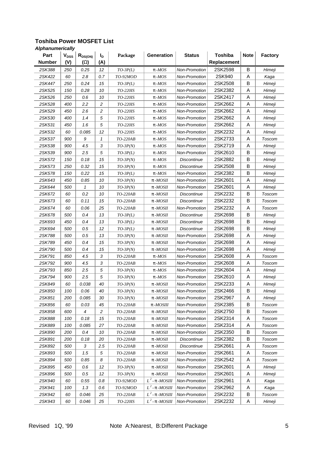| Part          | <b>V<sub>DSS</sub></b> | $R_{DS(ON)}$   | I <sub>D</sub> | Package         | Generation                | <b>Status</b>        | <b>Toshiba</b>     | <b>Note</b> | <b>Factory</b> |
|---------------|------------------------|----------------|----------------|-----------------|---------------------------|----------------------|--------------------|-------------|----------------|
| <b>Number</b> | (V)                    | $(\mathsf{W})$ | (A)            |                 |                           |                      | <b>Replacement</b> |             |                |
| 2SK388        | 250                    | 0.25           | 12             | $TO-3P(L)$      | $p$ - <i>MOS</i>          | <b>Non-Promotion</b> | 2SK2598            | B           | Himeji         |
| 2SK422        | 60                     | 2.8            | 0.7            | TO-92MOD        | $p$ - <i>MOS</i>          | <b>Non-Promotion</b> | 2SK940             | Α           | Kaga           |
| 2SK447        | 250                    | 0.24           | 15             | $TO-3P(L)$      | p -MOS                    | <b>Non-Promotion</b> | 2SK2508            | B           | Himeji         |
| 2SK525        | 150                    | 0.28           | 10             | <i>TO-220IS</i> | $p$ - <i>MOS</i>          | <b>Non-Promotion</b> | 2SK2382            | Α           | Himeji         |
| 2SK526        | 250                    | 0.6            | 10             | <i>TO-220IS</i> | $p$ - $MOS$               | Non-Promotion        | 2SK2417            | Α           | Himeji         |
| 2SK528        | 400                    | 2.2            | 2              | TO-220IS        | $p$ - <i>MOS</i>          | Non-Promotion        | 2SK2662            | Α           | Himeji         |
| 2SK529        | 450                    | 2.6            | $\overline{c}$ | <i>TO-220IS</i> | $p$ - <i>MOS</i>          | <b>Non-Promotion</b> | 2SK2662            | Α           | Himeji         |
| 2SK530        | 400                    | 1.4            | 5              | <i>TO-220IS</i> | $p$ - <i>MOS</i>          | <b>Non-Promotion</b> | 2SK2662            | Α           | Himeji         |
| 2SK531        | 450                    | 1.6            | 5              | <i>TO-220IS</i> | $p$ - $MOS$               | <b>Non-Promotion</b> | 2SK2662            | Α           | Himeji         |
| 2SK532        | 60                     | 0.085          | 12             | <i>TO-220IS</i> | $p$ - <i>MOS</i>          | <b>Non-Promotion</b> | 2SK2232            | Α           | Himeji         |
| 2SK537        | 900                    | 9              | 1              | TO-220AB        | $p$ - <i>MOS</i>          | Non-Promotion        | 2SK2733            | Α           | Toscom         |
| 2SK538        | 900                    | 4.5            | 3              | $TO-3P(N)$      | $p$ - <i>MOS</i>          | <b>Non-Promotion</b> | 2SK2719            | Α           | Himeji         |
| 2SK539        | 900                    | 2.5            | 5              | $TO-3P(L)$      | $p$ - $MOS$               | <b>Non-Promotion</b> | 2SK2610            | B           | Himeji         |
| 2SK572        | 150                    | 0.18           | 15             | $TO-3P(N)$      | $p$ - $MOS$               | <b>Discontinue</b>   | 2SK2882            | B           | Himeji         |
| 2SK573        | 250                    | 0.32           | 15             | $TO-3P(N)$      | $p$ - <i>MOS</i>          | Discontinue          | 2SK2508            | B           | Himeji         |
| 2SK578        | 150                    | 0.22           | 15             | $TO-3P(L)$      | $p$ - <i>MOS</i>          | <b>Non-Promotion</b> | 2SK2382            | B           | Himeji         |
| 2SK643        | 450                    | 0.85           | 10             | $TO-3P(N)$      | $p$ - $MOSII$             | <b>Non-Promotion</b> | 2SK2601            | Α           | Himeji         |
| 2SK644        | 500                    | 1              | 10             | $TO-3P(N)$      | $p$ - $MOSII$             | <b>Non-Promotion</b> | 2SK2601            | Α           | Himeji         |
| 2SK672        | 60                     | 0.2            | 10             | TO-220AB        | $p$ - <i>MOSII</i>        | Discontinue          | 2SK2232            | B           | Toscom         |
| 2SK673        | 60                     | 0.11           | 15             | TO-220AB        | $p$ - $MOSII$             | <b>Discontinue</b>   | 2SK2232            | В           | <b>Toscom</b>  |
| 2SK674        | 60                     | 0.06           | 25             | TO-220AB        | $p$ - <i>MOSII</i>        | <b>Non-Promotion</b> | 2SK2232            | A           | Toscom         |
| 2SK678        | 500                    | 0.4            | 13             | $TO-3P(L)$      | $p$ - $MOSII$             | Discontinue          | 2SK2698            | B           | Himeji         |
| 2SK693        | 450                    | 0.4            | 13             | $TO-3P(L)$      | $p$ - $MOSII$             | Discontinue          | 2SK2698            | B           | Himeji         |
| 2SK694        | 500                    | 0.5            | 12             | $TO-3P(L)$      | $p$ - <i>MOSII</i>        | Discontinue          | 2SK2698            | B           | Himeji         |
| 2SK788        | 500                    | 0.5            | 13             | $TO-3P(N)$      | $p$ - <i>MOSII</i>        | Non-Promotion        | 2SK2698            | Α           | Himeji         |
| 2SK789        | 450                    | 0.4            | 15             | $TO-3P(N)$      | $p$ - <i>MOSII</i>        | <b>Non-Promotion</b> | 2SK2698            | Α           | Himeji         |
| 2SK790        | 500                    | 0.4            | 15             | $TO-3P(N)$      | $p$ - <i>MOSII</i>        | <b>Non-Promotion</b> | 2SK2698            | Α           | Himeji         |
| 2SK791        | 850                    | 4.5            | 3              | TO-220AB        | $p$ - $MOS$               | <b>Non-Promotion</b> | 2SK2608            | Α           | Toscom         |
| 2SK792        | 900                    | 4.5            | 3              | TO-220AB        | $p$ - <i>MOS</i>          | Non-Promotion        | 2SK2608            | Α           | Toscom         |
| 2SK793        | 850                    | 2.5            | 5              | $TO-3P(N)$      | $p$ - <i>MOS</i>          | <b>Non-Promotion</b> | 2SK2604            | Α           | Himeji         |
| 2SK794        | 900                    | 2.5            | 5              | $TO-3P(N)$      | $p$ - <i>MOS</i>          | Non-Promotion        | 2SK2610            | Α           | Himeji         |
| 2SK849        | 60                     | 0.038          | 40             | $TO-3P(N)$      | $p$ - <i>MOSII</i>        | <b>Non-Promotion</b> | 2SK2233            | Α           | Himeji         |
| 2SK850        | 100                    | 0.06           | 40             | $TO-3P(N)$      | $p$ - <i>MOSII</i>        | <b>Non-Promotion</b> | 2SK2466            | B           | Himeji         |
| 2SK851        | 200                    | 0.085          | 30             | $TO-3P(N)$      | $p$ - <i>MOSII</i>        | <b>Non-Promotion</b> | 2SK2967            | Α           | Himeji         |
| 2SK856        | 60                     | 0.03           | 45             | TO-220AB        | $p$ - $MOSIII$            | <b>Non-Promotion</b> | 2SK2385            | В           | Toscom         |
| 2SK858        | 600                    | 4              | $\overline{c}$ | TO-220AB        | $p$ - $MOSII$             | Non-Promotion        | 2SK2750            | B           | Toscom         |
| 2SK888        | 100                    | 0.18           | 15             | TO-220AB        | $p$ - $MOSII$             | Non-Promotion        | 2SK2314            | Α           | Toscom         |
| 2SK889        | 100                    | 0.085          | 27             | TO-220AB        | $p$ - <i>MOSII</i>        | <b>Non-Promotion</b> | 2SK2314            | A           | Toscom         |
| 2SK890        | 200                    | 0.4            | 10             | TO-220AB        | $p$ - <i>MOSII</i>        | Non-Promotion        | 2SK2350            | B           | Toscom         |
| 2SK891        | 200                    | 0.18           | 20             | TO-220AB        | $p$ - <i>MOSII</i>        | <b>Discontinue</b>   | 2SK2382            | B           | Toscom         |
| 2SK892        | 500                    | 3              | 2.5            | TO-220AB        | $p$ - <i>MOSII</i>        | <b>Discontinue</b>   | 2SK2661            | Α           | Toscom         |
| 2SK893        | 500                    | 1.5            | 5              | $TO-220AB$      | $p$ - $MOSII$             | Non-Promotion        | 2SK2661            | Α           | Toscom         |
| 2SK894        | 500                    | 0.85           | 8              | TO-220AB        | $p$ - $MOSII$             | Non-Promotion        | 2SK2542            | Α           | Toscom         |
| 2SK895        | 450                    | 0.6            | 12             | $TO-3P(N)$      | $p$ - <i>MOSII</i>        | Non-Promotion        | 2SK2601            | Α           | Himeji         |
| 2SK896        | 500                    | 0.5            | 12             | $TO-3P(N)$      | p-MOSII                   | Non-Promotion        | 2SK2601            | Α           | Himeji         |
| 2SK940        | 60                     | 0.55           | 0.8            | TO-92MOD        | $L^2$ - p - <i>MOSIII</i> | Non-Promotion        | 2SK2961            | Α           | Kaga           |
| 2SK941        | 100                    | 1.3            | 0.6            | TO-92MOD        | $L^2$ - p - <i>MOSIII</i> | Non-Promotion        | 2SK2962            | Α           | Kaga           |
| 2SK942        | 60                     | 0.046          | 25             | TO-220AB        | $L^2$ - p - <i>MOSIII</i> | <b>Non-Promotion</b> | 2SK2232            | В           | Toscom         |
| 2SK943        | 60                     | 0.046          | 25             | TO-220IS        | $L^2$ - p - <i>MOSIII</i> | Non-Promotion        | 2SK2232            | Α           | Himeji         |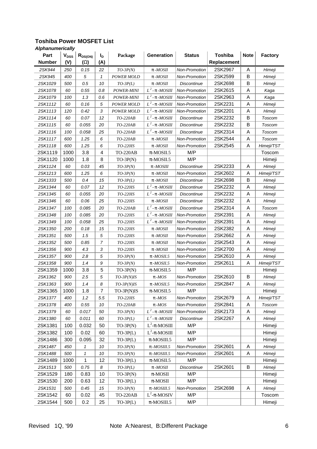| Part          | $V_{DSS}$ | $R_{DS(ON)}$   | ı,               | Package           | Generation                | <b>Status</b>        | <b>Toshiba</b> | <b>Note</b> | <b>Factory</b> |
|---------------|-----------|----------------|------------------|-------------------|---------------------------|----------------------|----------------|-------------|----------------|
| <b>Number</b> | (V)       | $(\mathsf{W})$ | (A)              |                   |                           |                      | Replacement    |             |                |
| 2SK944        | 250       | 0.15           | 22               | $TO-3P(N)$        | $p$ - $MOSII$             | Non-Promotion        | 2SK2967        | A           | Himeji         |
| 2SK945        | 400       | 5              | 1                | <b>POWER MOLD</b> | $p$ - <i>MOSII</i>        | <b>Non-Promotion</b> | 2SK2599        | B           | Himeji         |
| 2SK1029       | 500       | 0.5            | 10               | $TO-3P(L)$        | $p$ - <i>MOSII</i>        | <i>Discontinue</i>   | 2SK2698        | B           | Himeji         |
| 2SK1078       | 60        | 0.55           | 0.8              | POWER-MINI        | $L^2$ - p - <i>MOSIII</i> | Non-Promotion        | 2SK2615        | A           | Kaga           |
| 2SK1079       | 100       | 1.3            | 0.6              | POWER-MINI        | $L^2$ - p - <i>MOSIII</i> | Non-Promotion        | 2SK2963        | Α           | Kaga           |
| 2SK1112       | 60        | 0.16           | $\sqrt{5}$       | <b>POWER MOLD</b> | $L^2$ - p - <i>MOSIII</i> | <b>Non-Promotion</b> | 2SK2231        | Α           | Himeji         |
| 2SK1113       | 120       | 0.42           | $\mathfrak{Z}$   | <b>POWER MOLD</b> | $L^2$ - p - <i>MOSIII</i> | Non-Promotion        | 2SK2201        | A           | Himeji         |
| 2SK1114       | 60        | 0.07           | 12               | TO-220AB          | $L^2$ - p - <i>MOSIII</i> | Discontinue          | 2SK2232        | B           | Toscom         |
| 2SK1115       | 60        | 0.055          | 20               | TO-220AB          | $L^2$ - p - <i>MOSIII</i> | Discontinue          | 2SK2232        | B           | Toscom         |
| 2SK1116       | 100       | 0.058          | 25               | $TO-220AB$        | $L^2$ - p - <i>MOSIII</i> | <b>Discontinue</b>   | 2SK2314        | Α           | Toscom         |
| 2SK1117       | 600       | 1.25           | 6                | TO-220AB          | $p$ - <i>MOSII</i>        | Non-Promotion        | 2SK2544        | Α           | Toscom         |
| 2SK1118       | 600       | 1.25           | 6                | TO-220IS          | $p$ - $MOSII$             | Non-Promotion        | 2SK2545        | Α           | Himeji/TST     |
| 2SK1119       | 1000      | 3.8            | 4                | <b>TO-220AB</b>   | $\pi$ -MOSII.5            | M/P                  |                |             | Toscom         |
| 2SK1120       | 1000      | 1.8            | 8                | $TO-3P(N)$        | $\pi$ -MOSII.5            | M/P                  |                |             | Himeji         |
| 2SK1124       | 60        | 0.03           | 45               | $TO-3P(N)$        | $p$ - <i>MOSIII</i>       | <b>Discontinue</b>   | 2SK2233        | A           | Himeji         |
| 2SK1213       | 600       | 1.25           | 6                | $TO-3P(N)$        | $p$ - $MOSII$             | <b>Non-Promotion</b> | 2SK2602        | Α           | Himeji/TST     |
| 2SK1333       | 500       | 0.4            | 15               | $TO-3P(L)$        | $p$ - <i>MOSII</i>        | Discontinue          | 2SK2698        | B           | Himeji         |
| 2SK1344       | 60        | 0.07           | 12               | TO-220IS          | $L^2$ - p - <i>MOSIII</i> | <b>Discontinue</b>   | 2SK2232        | Α           | Himeji         |
| 2SK1345       | 60        | 0.055          | 20               | TO-220IS          | $L^2$ - p - <i>MOSIII</i> | <b>Discontinue</b>   | 2SK2232        | A           | Himeji         |
| 2SK1346       | 60        | 0.06           | 25               | TO-220IS          | $p$ - <i>MOSII</i>        | Discontinue          | 2SK2232        | A           | Himeji         |
| 2SK1347       | 100       | 0.085          | 20               | TO-220AB          | $L^2$ - p - <i>MOSIII</i> | Discontinue          | 2SK2314        | A           | Toscom         |
| 2SK1348       | 100       | 0.085          | 20               | TO-220IS          | $L^2$ - p - <i>MOSIII</i> | Non-Promotion        | 2SK2391        | A           | Himeji         |
| 2SK1349       | 100       | 0.058          | 25               | TO-220IS          | $L^2$ - p - <i>MOSIII</i> | Non-Promotion        | 2SK2391        | A           | Himeji         |
| 2SK1350       | 200       | 0.18           | 15               | TO-220IS          | $p$ - <i>MOSII</i>        | Non-Promotion        | 2SK2382        | Α           | Himeji         |
| 2SK1351       | 500       | 1.5            | $\sqrt{5}$       | TO-220IS          | $p$ - $MOSII$             | Non-Promotion        | 2SK2662        | Α           | Himeji         |
| 2SK1352       | 500       | 0.85           | $\overline{7}$   | TO-220IS          | $p$ - <i>MOSII</i>        | Non-Promotion        | 2SK2543        | A           | Himeji         |
| 2SK1356       | 900       | 4.3            | 3                | <i>TO-220IS</i>   | $p$ - <i>MOSII</i>        | <b>Non-Promotion</b> | 2SK2700        | Α           | Himeji         |
| 2SK1357       | 900       | 2.8            | 5                | $TO-3P(N)$        | $p$ - $MOSII.5$           | <b>Non-Promotion</b> | 2SK2610        | A           | Himeji         |
| 2SK1358       | 900       | 1.4            | $\boldsymbol{9}$ | $TO-3P(N)$        | $p$ - $MOSII.5$           | Non-Promotion        | 2SK2611        | A           | Himeji/TST     |
| 2SK1359       | 1000      | 3.8            | 5                | $TO-3P(N)$        | $\pi$ -MOSII.5            | M/P                  |                |             | Himeji         |
| 2SK1362       | 900       | 2.5            | $\sqrt{5}$       | $TO-3P(N)IS$      | $p$ - $MOS$               | Non-Promotion        | 2SK2610        | B           | Himeji         |
| 2SK1363       | 900       | 1.4            | 8                | $TO-3P(N)IS$      | $p$ - $MOSII.5$           | Non-Promotion        | 2SK2847        | A           | Himeji         |
| 2SK1365       | 1000      | 1.8            | 7                | TO-3P(N)IS        | $\pi$ -MOSII.5            | M/P                  |                |             | Himeji         |
| 2SK1377       | 400       | 1.2            | 5.5              | TO-220IS          | $p$ - <i>MOS</i>          | <b>Non-Promotion</b> | 2SK2679        | Α           | Himeji/TST     |
| 2SK1378       | 400       | 0.55           | 10               | TO-220AB          | $p$ - $MOS$               | Non-Promotion        | 2SK2841        | Α           | Toscom         |
| 2SK1379       | 60        | 0.017          | 50               | $TO-3P(N)$        | $L^2$ - p - <i>MOSIII</i> | Non-Promotion        | 2SK2173        | Α           | Himeji         |
| 2SK1380       | 60        | 0.011          | 60               | $TO-3P(L)$        | $L^2$ - p - <i>MOSIII</i> | <b>Discontinue</b>   | 2SK2267        | Α           | Himeji         |
| 2SK1381       | 100       | 0.032          | 50               | $TO-3P(N)$        | $L^2$ - $\pi$ -MOSIII     | M/P                  |                |             | Himeji         |
| 2SK1382       | 100       | 0.02           | 60               | $TO-3P(L)$        | $L^2$ - $\pi$ -MOSIII     | M/P                  |                |             | Himeji         |
| 2SK1486       | 300       | 0.095          | 32               | $TO-3P(L)$        | $\pi$ -MOSIII.5           | M/P                  |                |             | Himeji         |
| 2SK1487       | 450       | 1              | 10               | $TO-3P(N)$        | $p$ - $MOSIII.5$          | Non-Promotion        | 2SK2601        | Α           | Himeji         |
| 2SK1488       | 500       | 1              | 10               | $TO-3P(N)$        | $p$ - $MOSIII.5$          | Non-Promotion        | 2SK2601        | Α           | Himeji         |
| 2SK1489       | 1000      | 1              | 12               | $TO-3P(L)$        | $\pi$ -MOSII.5            | M/P                  |                |             | Himeji         |
| 2SK1513       | 500       | 0.75           | 8                | $TO-3P(L)$        | $p$ - <i>MOSII</i>        | Discontinue          | 2SK2601        | B           | Himeji         |
| 2SK1529       | 180       | 0.83           | 10               | $TO-3P(N)$        | $\pi$ -MOSII              | M/P                  |                |             | Himeji         |
| 2SK1530       | 200       | 0.63           | 12               | $TO-3P(L)$        | $\pi$ -MOSII              | M/P                  |                |             | Himeji         |
| 2SK1531       | 500       | 0.45           | 15               | $TO-3P(N)$        | $p$ - $MOSIII.5$          | Non-Promotion        | 2SK2698        | Α           | Himeji         |
| 2SK1542       | 60        | 0.02           | 45               | <b>TO-220AB</b>   | $L^2$ - $\pi$ -MOSIV      | M/P                  |                |             | Toscom         |
| 2SK1544       | 500       | 0.2            | 25               | $TO-3P(L)$        | $\pi$ -MOSIII.5           | M/P                  |                |             | Himeji         |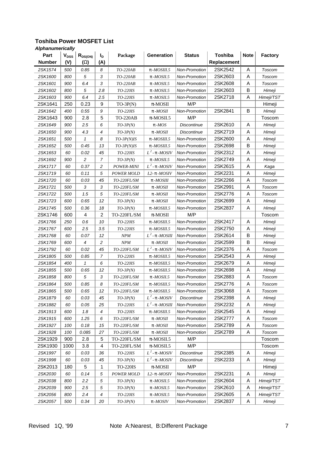| Part          | $V_{DSS}$ | $R_{DS(ON)}$     | ı,             | Package            | <b>Generation</b>         | <b>Status</b>        | <b>Toshiba</b> | <b>Note</b> | <b>Factory</b> |
|---------------|-----------|------------------|----------------|--------------------|---------------------------|----------------------|----------------|-------------|----------------|
| <b>Number</b> | (V)       | (W)              | (A)            |                    |                           |                      | Replacement    |             |                |
| 2SK1574       | 500       | 0.85             | 8              | $TO-220AB$         | $p$ - $MOSIII.5$          | <b>Non-Promotion</b> | 2SK2542        | A           | Toscom         |
| 2SK1600       | 800       | 5                | 3              | TO-220AB           | $p$ - $MOSII.5$           | <b>Non-Promotion</b> | 2SK2603        | A           | Toscom         |
| 2SK1601       | 900       | 6.4              | 3              | TO-220AB           | $p$ - <i>MOSII.5</i>      | <b>Non-Promotion</b> | 2SK2608        | Α           | Toscom         |
| 2SK1602       | 800       | 5                | 2.8            | TO-220IS           | $p$ - <i>MOSII.5</i>      | Non-Promotion        | 2SK2603        | B           | Himeji         |
| 2SK1603       | 900       | 6.4              | 2.5            | TO-220IS           | $p$ - $MOSII.5$           | Non-Promotion        | 2SK2718        | Α           | Himeji/TST     |
| 2SK1641       | 250       | 0.23             | 9              | $TO-3P(N)$         | $\pi$ -MOSII              | M/P                  |                |             | Himeji         |
| 2SK1642       | 400       | 0.55             | 9              | TO-220IS           | $p$ - $MOSII$             | Non-Promotion        | 2SK2841        | B           | Himeji         |
| 2SK1643       | 900       | 2.8              | 5              | <b>TO-220AB</b>    | $\pi$ -MOSII.5            | M/P                  |                |             | Toscom         |
| 2SK1649       | 900       | 2.5              | 6              | $TO-3P(N)$         | $p$ - $MOS$               | <b>Discontinue</b>   | 2SK2610        | A           | Himeji         |
| 2SK1650       | 900       | 4.3              | 4              | $TO-3P(N)$         | $p$ - $MOSII$             | Discontinue          | 2SK2719        | A           | Himeji         |
| 2SK1651       | 500       | 1                | 8              | $TO-3P(N)IS$       | $p$ - <i>MOSIII.5</i>     | Non-Promotion        | 2SK2600        | Α           | Himeji         |
| 2SK1652       | 500       | 0.45             | 13             | $TO-3P(N)IS$       | $p$ - $MOSIII.5$          | Non-Promotion        | 2SK2698        | B           | Himeji         |
| 2SK1653       | 60        | 0.02             | 45             | TO-220IS           | $L^2$ - p - <i>MOSIV</i>  | Non-Promotion        | 2SK2312        | Α           | Himeji         |
| 2SK1692       | 900       | $\overline{c}$   | $\overline{7}$ | $TO-3P(N)$         | $p$ - <i>MOSII.5</i>      | Non-Promotion        | 2SK2749        | A           | Himeji         |
| 2SK1717       | 60        | 0.37             | $\sqrt{2}$     | POWER-MINI         | $L^2$ - p - <i>MOSIV</i>  | <b>Non-Promotion</b> | 2SK2615        | Α           | Kaga           |
| 2SK1719       | 60        | 0.11             | 5              | <b>POWER MOLD</b>  | $L2$ - p - $MOSIV$        | <b>Non-Promotion</b> | 2SK2231        | Α           | Himeji         |
| 2SK1720       | 60        | 0.03             | 45             | TO-220FL/SM        | $p$ - <i>MOSIII</i>       | Non-Promotion        | 2SK2266        | A           | Toscom         |
| 2SK1721       | 500       | 3                | 3              | TO-220FL/SM        | $p$ - <i>MOSII</i>        | <b>Non-Promotion</b> | 2SK2991        | Α           | Toscom         |
| 2SK1722       | 500       | 1.5              | 5              | TO-220FL/SM        | $p$ - <i>MOSII</i>        | <b>Non-Promotion</b> | 2SK2776        | Α           | Toscom         |
| 2SK1723       | 600       | 0.65             | 12             | $TO-3P(N)$         | $p$ - <i>MOSII</i>        | <b>Non-Promotion</b> | 2SK2699        | A           | Himeji         |
| 2SK1745       | 500       | 0.36             | 18             | $TO-3P(N)$         | $p$ - <i>MOSIII.5</i>     | <b>Non-Promotion</b> | 2SK2837        | A           | Himeji         |
| 2SK1746       | 600       | 4                | $\overline{2}$ | TO-220FL/SM        | $\pi$ -MOSII              | M/P                  |                |             | Toscom         |
| 2SK1766       | 250       | 0.6              | 10             | TO-220IS           | $p$ - $MOSIII.5$          | Non-Promotion        | 2SK2417        | A           | Himeji         |
| 2SK1767       | 600       | 2.5              | 3.5            | TO-220IS           | $p$ - $MOSIII.5$          | <b>Non-Promotion</b> | 2SK2750        | Α           | Himeji         |
| 2SK1768       | 60        | 0.07             | 12             | NPM                | $L^2$ - p -MOSIII         | Non-Promotion        | 2SK2614        | B           | Himeji         |
| 2SK1769       | 600       | $\boldsymbol{4}$ | $\sqrt{2}$     | NPM                | $p$ - <i>MOSII</i>        | Non-Promotion        | 2SK2599        | B           | Himeji         |
| 2SK1792       | 60        | 0.02             | 45             | <i>TO-220FL/SM</i> | $L^2$ - p - <i>MOSIV</i>  | <b>Non-Promotion</b> | 2SK2376        | A           | Toscom         |
| 2SK1805       | 500       | 0.85             | 7              | <i>TO-220IS</i>    | $p$ - <i>MOSIII.5</i>     | <b>Non-Promotion</b> | 2SK2543        | Α           | Himeji         |
| 2SK1854       | 400       | 1                | 6              | TO-220IS           | $p$ - $MOSIII.5$          | <b>Non-Promotion</b> | 2SK2679        | Α           | Himeji         |
| 2SK1855       | 500       | 0.65             | 12             | $TO-3P(N)$         | $p$ - <i>MOSIII.5</i>     | Non-Promotion        | 2SK2698        | Α           | Himeji         |
| 2SK1858       | 800       | 5                | 3              | TO-220FL/SM        | $p$ - $MOSII.5$           | Non-Promotion        | 2SK2883        | Α           | Toscom         |
| 2SK1864       | 500       | 0.85             | 8              | TO-220FL/SM        | $p$ - $MOSIII.5$          | <b>Non-Promotion</b> | 2SK2776        | Α           | Toscom         |
| 2SK1865       | 500       | 0.65             | 12             | TO-220FL/SM        | $p$ - <i>MOSIII.5</i>     | <b>Non-Promotion</b> | 2SK3068        | A           | Toscom         |
| 2SK1879       | 60        | 0.03             | 45             | $TO-3P(N)$         | $L^2$ - p - <i>MOSIV</i>  | <b>Discontinue</b>   | 2SK2398        | Α           | Himeji         |
| 2SK1882       | 60        | 0.05             | 25             | TO-220IS           | $L^2$ - p - <i>MOSIII</i> | Non-Promotion        | 2SK2232        | Α           | Himeji         |
| 2SK1913       | 600       | 1.8              | 4              | TO-220IS           | $p$ - $MOSIII.5$          | Non-Promotion        | 2SK2545        | A           | Himeji         |
| 2SK1915       | 600       | 1.25             | 6              | TO-220FL/SM        | $p$ - <i>MOSII</i>        | Non-Promotion        | 2SK2777        | Α           | Toscom         |
| 2SK1927       | 100       | 0.18             | 15             | TO-220FL/SM        | $p$ - $MOSII$             | Non-Promotion        | 2SK2789        | Α           | Toscom         |
| 2SK1928       | 100       | 0.085            | 27             | TO-220FL/SM        | $p$ - $MOSII$             | Non-Promotion        | 2SK2789        | A           | Toscom         |
| 2SK1929       | 900       | 2.8              | 5              | TO-220FL/SM        | $\pi$ -MOSII.5            | M/P                  |                |             | Toscom         |
| 2SK1930       | 1000      | 3.8              | 4              | TO-220FL/SM        | $\pi\text{-MOSII.5}$      | M/P                  |                |             | Toscom         |
| 2SK1997       | 60        | 0.03             | 36             | TO-220IS           | $L^2$ - p - <i>MOSIV</i>  | Discontinue          | 2SK2385        | Α           | Himeji         |
| 2SK1998       | 60        | 0.03             | 45             | $TO-3P(N)$         | $L^2$ - p - <i>MOSIV</i>  | Discontinue          | 2SK2233        | Α           | Himeji         |
| 2SK2013       | 180       | 5                | 1              | <b>TO-220IS</b>    | $\pi$ -MOSII              | M/P                  |                |             | Himeji         |
| 2SK2030       | 60        | 0.14             | $\sqrt{5}$     | <b>POWER MOLD</b>  | $L2$ - p - $MOSIV$        | Non-Promotion        | 2SK2231        | Α           | Himeji         |
| 2SK2038       | 800       | 2.2              | 5              | $TO-3P(N)$         | $p$ - $MOSII.5$           | <b>Non-Promotion</b> | 2SK2604        | Α           | Himeji/TST     |
| 2SK2039       | 900       | 2.5              | $\sqrt{5}$     | $TO-3P(N)$         | $p$ - $MOSII.5$           | Non-Promotion        | 2SK2610        | Α           | Himeji/TST     |
| 2SK2056       | 800       | 2.4              | 4              | TO-220IS           | $p$ - <i>MOSII.5</i>      | Non-Promotion        | 2SK2605        | Α           | Himeji/TST     |
| 2SK2057       | 500       | 0.34             | 20             | $TO-3P(N)$         | $p$ - <i>MOSIV</i>        | Non-Promotion        | 2SK2837        | Α           | Himeji         |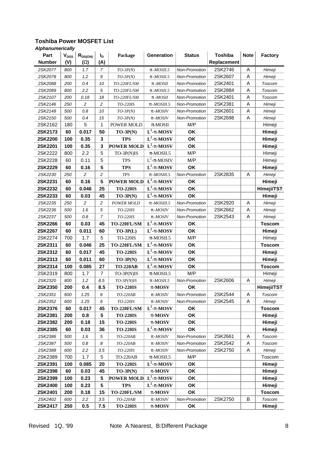| Part          | V <sub>DSS</sub> | $R_{DS(ON)}$   | I <sub>D</sub>   | Package           | Generation               | <b>Status</b> | <b>Toshiba</b> | <b>Note</b> | <b>Factory</b> |
|---------------|------------------|----------------|------------------|-------------------|--------------------------|---------------|----------------|-------------|----------------|
| <b>Number</b> | (V)              | $(\mathsf{W})$ | (A)              |                   |                          |               | Replacement    |             |                |
| 2SK2077       | 800              | 1.7            | $\overline{7}$   | $TO-3P(N)$        | $p$ - $MOSII.5$          | Non-Promotion | 2SK2746        | A           | Himeji         |
| 2SK2078       | 800              | 1.2            | $\boldsymbol{9}$ | $TO-3P(N)$        | $p$ - $MOSII.5$          | Non-Promotion | 2SK2607        | A           | Himeji         |
| 2SK2088       | 200              | 0.4            | 10               | TO-220FL/SM       | $p$ - $MOSII$            | Non-Promotion | 2SK2401        | Α           | Toscom         |
| 2SK2089       | 800              | 2.2            | 5                | TO-220FL/SM       | $p$ - $MOSII.5$          | Non-Promotion | 2SK2884        | A           | Toscom         |
| 2SK2107       | 200              | 0.18           | 18               | TO-220FL/SM       | $p$ - $MOSII$            | Non-Promotion | 2SK2401        | A           | Toscom         |
| 2SK2146       | 250              | $\overline{c}$ | $\overline{c}$   | TO-220IS          | $p$ - $MOSIII.5$         | Non-Promotion | 2SK2381        | A           | Himeji         |
| 2SK2149       | 500              | $0.8\,$        | 10               | $TO-3P(N)$        | $p$ - $MOSIV$            | Non-Promotion | 2SK2601        | A           | Himeji         |
| 2SK2150       | 500              | 0.4            | 15               | $TO-3P(N)$        | $p$ - $MOSIV$            | Non-Promotion | 2SK2698        | Α           | Himeji         |
| 2SK2162       | 180              | 5              | 1                | POWER MOLD        | $\pi$ -MOSII             | M/P           |                |             | Himeji         |
| 2SK2173       | 60               | 0.017          | 50               | $TO-3P(N)$        | $L^2$ -p-MOSV            | OK            |                |             | Himeji         |
| 2SK2200       | 100              | 0.35           | 3                | <b>TPS</b>        | $L^2$ -p-MOSV            | OK            |                |             | Himeji         |
| 2SK2201       | 100              | 0.35           | 3                | <b>POWER MOLD</b> | $L^2$ -p-MOSV            | OK            |                |             | Himeji         |
| 2SK2222       | 800              | 2.2            | 5                | TO-3P(N)IS        | $\pi$ -MOSII.5           | M/P           |                |             | Himeji         |
| 2SK2228       | 60               | 0.11           | 5                | <b>TPS</b>        | $L^2$ - $\pi$ -MOSIV     | M/P           |                |             | Himeji         |
| 2SK2229       | 60               | 0.16           | 5                | <b>TPS</b>        | $L^2$ -p-MOSV            | OK            |                |             | Himeji         |
| 2SK2230       | 250              | $\overline{c}$ | $\boldsymbol{2}$ | $T\!P\!S$         | $p$ - $MOSIII.5$         | Non-Promotion | 2SK2835        | Α           | Himeji         |
| 2SK2231       | 60               | 0.16           | 5                | <b>POWER MOLD</b> | $\overline{L^2}$ -p-MOSV | OK            |                |             | Himeji         |
| 2SK2232       | 60               | 0.046          | 25               | <b>TO-220IS</b>   | $L^2$ -p-MOSV            | OK            |                |             | Himeji/TST     |
| 2SK2233       | 60               | 0.03           | 45               | $TO-3P(N)$        | $L^2$ -p-MOSV            | OK            |                |             | Himeji         |
| 2SK2235       | 250              | $\overline{c}$ | $\boldsymbol{2}$ | POWER MOLD        | $p$ - <i>MOSIII.5</i>    | Non-Promotion | 2SK2920        | A           | Himeji         |
| 2SK2236       | 500              | 1.6            | $\sqrt{5}$       | TO-220IS          | p-MOSIV                  | Non-Promotion | 2SK2662        | A           | Himeji         |
| 2SK2237       | 500              | 0.8            | 7                | TO-220IS          | p-MOSIV                  | Non-Promotion | 2SK2543        | A           | Himeji         |
| 2SK2266       | 60               | 0.03           | 45               | TO-220FL/SM       | $L^2$ -p-MOSV            | OK            |                |             | <b>Toscom</b>  |
| 2SK2267       | 60               | 0.011          | 60               | $TO-3P(L)$        | $L^2$ -p-MOSV            | OK            |                |             | Himeji         |
| 2SK2274       | 700              | 1.7            | 5                | <b>TO-220IS</b>   | $\pi$ -MOSII.5           | M/P           |                |             | Himeji         |
| 2SK2311       | 60               | 0.046          | 25               | TO-220FL/SM       | $L^2$ -p-MOSV            | OK            |                |             | <b>Toscom</b>  |
| 2SK2312       | 60               | 0.017          | 45               | <b>TO-220IS</b>   | $L^2$ -p-MOSV            | OK            |                |             | Himeji         |
| 2SK2313       | 60               | 0.011          | 60               | $TO-3P(N)$        | $L^2$ -p-MOSV            | OK            |                |             | Himeji         |
| 2SK2314       | 100              | 0.085          | 27               | <b>TO-220AB</b>   | $L^2$ -p-MOSV            | OK            |                |             | <b>Toscom</b>  |
| 2SK2319       | 800              | 1.7            | 7                | TO-3P(N)IS        | $\pi$ -MOSII.5           | M/P           |                |             | Himeji         |
| 2SK2320       | 800              | 1.2            | 8.5              | $TO-3P(N)IS$      | $p$ - $MOSII.5$          | Non-Promotion | 2SK2606        | A           | Himeji         |
| 2SK2350       | 200              | 0.4            | 8.5              | <b>TO-220IS</b>   | p-MOSV                   | OK            |                |             | Himeji/TST     |
| 2SK2351       | 600              | 1.25           | 6                | TO-220AB          | $p$ - $MOSIV$            | Non-Promotion | 2SK2544        | Α           | Toscom         |
| 2SK2352       | 600              | 1.25           | 6                | TO-220IS          | p-MOSIV                  | Non-Promotion | 2SK2545        | Α           | Himeji         |
| 2SK2376       | 60               | 0.017          | 45               | TO-220FL/SM       | $L^2$ -p-MOSV            | OK            |                |             | <b>Toscom</b>  |
| 2SK2381       | 200              | 0.8            | 5                | <b>TO-220IS</b>   | p-MOSV                   | OK            |                |             | Himeji         |
| 2SK2382       | 200              | 0.18           | 15               | <b>TO-220IS</b>   | p-MOSV                   | OK            |                |             | Himeji         |
| 2SK2385       | 60               | 0.03           | 36               | <b>TO-220IS</b>   | $L^2$ -p-MOSV            | OK            |                |             | Himeji         |
| 2SK2386       | 500              | 1.6            | 5                | $TO-220AB$        | $p$ - $MOSIV$            | Non-Promotion | 2SK2661        | Α           | Toscom         |
| 2SK2387       | 500              | 0.8            | 8                | $TO-220AB$        | $p$ - $MOSIV$            | Non-Promotion | 2SK2542        | Α           | Toscom         |
| 2SK2388       | 600              | 2.2            | 3.5              | TO-220IS          | $p$ - $MOSIV$            | Non-Promotion | 2SK2750        | Α           | Himeji         |
| 2SK2389       | 700              | 1.7            | 5                | <b>TO-220AB</b>   | $\pi$ -MOSII.5           | M/P           |                |             | Toscom         |
| 2SK2391       | 100              | 0.085          | 20               | <b>TO-220IS</b>   | $L^2$ -p-MOSV            | OK            |                |             | Himeji         |
| 2SK2398       | 60               | 0.03           | 45               | $TO-3P(N)$        | p-MOSV                   | OK            |                |             | Himeji         |
| 2SK2399       | 100              | 0.23           | 5                | <b>POWER MOLD</b> | $L^2$ -p-MOSV            | OK            |                |             | Himeji         |
| 2SK2400       | 100              | 0.23           | 5                | <b>TPS</b>        | $L^2$ -p-MOSV            | OK            |                |             | Himeji         |
| 2SK2401       | 200              | 0.18           | 15               | TO-220FL/SM       | p-MOSV                   | OK            |                |             | <b>Toscom</b>  |
| 2SK2402       | 600              | 2.2            | 3.5              | $TO-220AB$        | $p$ - $MOSIV$            | Non-Promotion | 2SK2750        | B           | Toscom         |
| 2SK2417       | 250              | 0.5            | 7.5              | <b>TO-220IS</b>   | p-MOSV                   | OK            |                |             | Himeji         |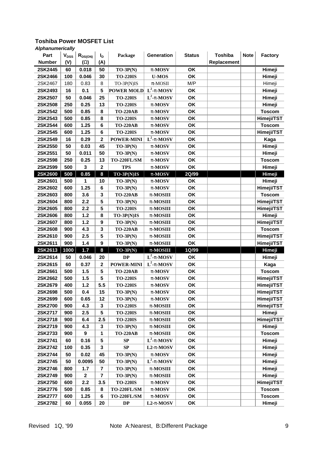| Part          | $V_{DSS}$ | $R_{DS(ON)}$     | $I_{\mathsf{D}}$        | Package           | <b>Generation</b>      | <b>Status</b> | <b>Toshiba</b> | <b>Note</b> | <b>Factory</b> |
|---------------|-----------|------------------|-------------------------|-------------------|------------------------|---------------|----------------|-------------|----------------|
| <b>Number</b> | (V)       | $(\mathsf{W})$   | (A)                     |                   |                        |               | Replacement    |             |                |
| 2SK2445       | 60        | 0.018            | 50                      | $TO-3P(N)$        | p-MOSV                 | OK            |                |             | Himeji         |
| 2SK2466       | 100       | 0.046            | 30                      | <b>TO-220IS</b>   | <b>U-MOS</b>           | OK            |                |             | Himeji         |
| 2SK2467       | 180       | 0.83             | 8                       | TO-3P(N)IS        | $\pi$ -MOSII           | M/P           |                |             | Himeji         |
| 2SK2493       | 16        | 0.1              | 5                       | <b>POWER MOLD</b> | $L^2$ -p-MOSV          | OK            |                |             | Himeji         |
| 2SK2507       | 50        | 0.046            | 25                      | <b>TO-220IS</b>   | $\mathbf{L}^2$ -p-MOSV | OK            |                |             | Himeji         |
| 2SK2508       | 250       | 0.25             | 13                      | <b>TO-220IS</b>   | p-MOSV                 | OK            |                |             | Himeji         |
| 2SK2542       | 500       | 0.85             | 8                       | <b>TO-220AB</b>   | p-MOSV                 | OK            |                |             | <b>Toscom</b>  |
| 2SK2543       | 500       | 0.85             | 8                       | <b>TO-220IS</b>   | p-MOSV                 | OK            |                |             | Himeji/TST     |
| 2SK2544       | 600       | 1.25             | $\bf 6$                 | <b>TO-220AB</b>   | p-MOSV                 | OK            |                |             | <b>Toscom</b>  |
| 2SK2545       | 600       | 1.25             | $6\phantom{1}6$         | <b>TO-220IS</b>   | p-MOSV                 | OK            |                |             | Himeji/TST     |
| 2SK2549       | 16        | 0.29             | $\bf{2}$                | <b>POWER-MINI</b> | $L^2$ -p-MOSV          | OK            |                |             | Kaga           |
| 2SK2550       | 50        | 0.03             | 45                      | $TO-3P(N)$        | p-MOSV                 | OK            |                |             | Himeji         |
| 2SK2551       | 50        | 0.011            | 50                      | $TO-3P(N)$        | p-MOSV                 | OK            |                |             | Himeji         |
| 2SK2598       | 250       | 0.25             | 13                      | TO-220FL/SM       | p-MOSV                 | OK            |                |             | <b>Toscom</b>  |
| 2SK2599       | 500       | 3                | $\overline{\mathbf{2}}$ | <b>TPS</b>        | p-MOSV                 | OK            |                |             | Himeji         |
| 2SK2600       | 500       | 0.85             | 8                       | $TO-3P(N)IS$      | p-MOSV                 | 2Q/99         |                |             | Himeji         |
| 2SK2601       | 500       | 1                | 10                      | $TO-3P(N)$        | p-MOSV                 | OK            |                |             | Himeji         |
| 2SK2602       | 600       | 1.25             | $\bf 6$                 | $TO-3P(N)$        | p-MOSV                 | OK            |                |             | Himeji/TST     |
| 2SK2603       | 800       | 3.6              | $\mathbf{3}$            | <b>TO-220AB</b>   | p-MOSIII               | OK            |                |             | <b>Toscom</b>  |
| 2SK2604       | 800       | 2.2              | 5                       | $TO-3P(N)$        | p-MOSIII               | OK            |                |             | Himeji/TST     |
| 2SK2605       | 800       | 2.2              | 5                       | <b>TO-220IS</b>   | p-MOSIII               | OK            |                |             | Himeji/TST     |
| 2SK2606       | 800       | 1.2              | 8                       | TO-3P(N)IS        | p-MOSIII               | OK            |                |             | Himeji         |
| 2SK2607       | 800       | 1.2              | 9                       | $TO-3P(N)$        | p-MOSIII               | OK            |                |             | Himeji/TST     |
| 2SK2608       | 900       | 4.3              | $\mathbf{3}$            | <b>TO-220AB</b>   | p-MOSIII               | OK            |                |             | <b>Toscom</b>  |
| 2SK2610       | 900       | 2.5              | 5                       | $TO-3P(N)$        | p-MOSIII               | OK            |                |             | Himeji/TST     |
| 2SK2611       | 900       | 1.4              | $\boldsymbol{9}$        | $TO-3P(N)$        | p-MOSIII               | OK            |                |             | Himeji/TST     |
| 2SK2613       | 1000      | $1.7$            | 8                       | $TO-3P(N)$        | p-MOSIII               | 1Q/99         |                |             | <b>Himeji</b>  |
| 2SK2614       | 50        | 0.046            | 20                      | <b>DP</b>         | $L^2$ -p-MOSV          | OK            |                |             | Himeji         |
| 2SK2615       | 60        | 0.37             | 2                       | <b>POWER-MINI</b> | $L^2$ -p-MOSV          | OK            |                |             | Kaga           |
| 2SK2661       | 500       | 1.5              | 5                       | <b>TO-220AB</b>   | p-MOSV                 | OK            |                |             | <b>Toscom</b>  |
| 2SK2662       | 500       | 1.5              | 5                       | <b>TO-220IS</b>   | p-MOSV                 | OK            |                |             | Himeji/TST     |
| 2SK2679       | 400       | 1.2              | 5.5                     | <b>TO-220IS</b>   | p-MOSV                 | OK            |                |             | Himeji/TST     |
| 2SK2698       | 500       | 0.4              | 15                      | $TO-3P(N)$        | p-MOSV                 | OK            |                |             | Himeji/TST     |
| 2SK2699       | 600       | 0.65             | 12                      | $TO-3P(N)$        | p-MOSV                 | OK            |                |             | Himeji/TST     |
| 2SK2700       | 900       | 4.3              | 3                       | <b>TO-220IS</b>   | p-MOSIII               | OK            |                |             | Himeji/TST     |
| 2SK2717       | 900       | 2.5              | 5                       | <b>TO-220IS</b>   | p-MOSIII               | OK            |                |             | Himeji         |
| 2SK2718       | 900       | 6.4              | 2.5                     | <b>TO-220IS</b>   | p-MOSIII               | OK            |                |             | Himeji/TST     |
| 2SK2719       | 900       | 4.3              | $\mathbf{3}$            | $TO-3P(N)$        | p-MOSIII               | OK            |                |             | Himeji         |
| 2SK2733       | 900       | 9                | 1                       | <b>TO-220AB</b>   | p-MOSIII               | OK            |                |             | <b>Toscom</b>  |
| 2SK2741       | 60        | 0.16             | 5                       | SP                | $L^2$ -p-MOSV          | OK            |                |             | Himeji         |
| 2SK2742       | 100       | 0.35             | 3                       | SP                | $L2-p-MOSV$            | OK            |                |             | Himeji         |
| 2SK2744       | 50        | 0.02             | 45                      | $TO-3P(N)$        | p-MOSV                 | OK            |                |             | Himeji         |
| 2SK2745       | 50        | 0.0095           | 50                      | $TO-3P(N)$        | $L^2$ -p-MOSV          | OK            |                |             | Himeji         |
| 2SK2746       | 800       | 1.7              | $\overline{7}$          | $TO-3P(N)$        | p-MOSIII               | OK            |                |             | Himeji         |
| 2SK2749       | 900       | $\boldsymbol{2}$ | $\overline{7}$          | $TO-3P(N)$        | p-MOSIII               | OK            |                |             | Himeji         |
| 2SK2750       | 600       | 2.2              | 3.5                     | <b>TO-220IS</b>   | p-MOSV                 | OK            |                |             | Himeji/TST     |
| 2SK2776       | 500       | 0.85             | 8                       | TO-220FL/SM       | p-MOSV                 | OK            |                |             | <b>Toscom</b>  |
| 2SK2777       | 600       | 1.25             | $6\phantom{1}6$         | TO-220FL/SM       | p-MOSV                 | OK            |                |             | <b>Toscom</b>  |
| 2SK2782       | 60        | 0.055            | 20                      | $\mathbf{DP}$     | $L2-p-MOSV$            | OK            |                |             | Himeji         |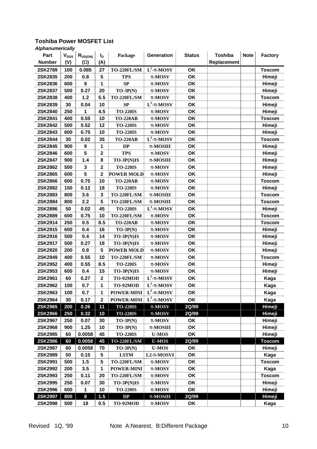| Part          | $V_{DSS}$ | $R_{DS(ON)}$     | $I_{\mathsf{D}}$        | Package            | Generation                        | <b>Status</b> | <b>Toshiba</b> | <b>Note</b> | <b>Factory</b> |
|---------------|-----------|------------------|-------------------------|--------------------|-----------------------------------|---------------|----------------|-------------|----------------|
| <b>Number</b> | (V)       | (W)              | (A)                     |                    |                                   |               | Replacement    |             |                |
| 2SK2789       | 100       | 0.085            | 27                      | TO-220FL/SM        | $\overline{\mathbf{L}^2}$ -p-MOSV | OK            |                |             | <b>Toscom</b>  |
| 2SK2835       | 200       | 0.8              | 5                       | <b>TPS</b>         | p-MOSV                            | OK            |                |             | Himeji         |
| 2SK2836       | 600       | 9                | 1                       | SP                 | p-MOSV                            | OK            |                |             | Himeji         |
| 2SK2837       | 500       | 0.27             | 20                      | $TO-3P(N)$         | p-MOSV                            | OK            |                |             | Himeji         |
| 2SK2838       | 400       | $1.2$            | 5.5                     | TO-220FL/SM        | p-MOSV                            | OK            |                |             | <b>Toscom</b>  |
| 2SK2839       | 30        | 0.04             | 10                      | SP                 | $L^2$ -p-MOSV                     | OK            |                |             | Himeji         |
| 2SK2840       | 250       | 1                | 4.5                     | <b>TO-220IS</b>    | p-MOSV                            | OK            |                |             | Himeji         |
| 2SK2841       | 400       | 0.55             | 10                      | <b>TO-220AB</b>    | p-MOSV                            | OK            |                |             | <b>Toscom</b>  |
| 2SK2842       | 500       | 0.52             | 12                      | <b>TO-220IS</b>    | p-MOSV                            | OK            |                |             | Himeji         |
| 2SK2843       | 600       | 0.75             | 10                      | <b>TO-220IS</b>    | p-MOSV                            | OK            |                |             | Himeji         |
| 2SK2844       | 30        | 0.02             | 35                      | <b>TO-220AB</b>    | $L^2$ -p-MOSV                     | OK            |                |             | <b>Toscom</b>  |
| 2SK2845       | 900       | $\boldsymbol{9}$ | 1                       | DP                 | p-MOSIII                          | OK            |                |             | Himeji         |
| 2SK2846       | 600       | 5                | $\bf 2$                 | <b>TPS</b>         | p-MOSV                            | OK            |                |             | Himeji         |
| 2SK2847       | 900       | 1.4              | 8                       | TO-3P(N)IS         | p-MOSIII                          | OK            |                |             | Himeji         |
| 2SK2862       | 500       | $\mathbf 3$      | $\mathbf 2$             | <b>TO-220IS</b>    | p-MOSV                            | OK            |                |             | Himeji         |
| 2SK2865       | 600       | 5                | $\mathbf 2$             | <b>POWER MOLD</b>  | p-MOSV                            | OK            |                |             | Himeji         |
| 2SK2866       | 600       | 0.75             | 10                      | <b>TO-220AB</b>    | p-MOSV                            | OK            |                |             | <b>Toscom</b>  |
| 2SK2882       | 150       | 0.12             | 18                      | <b>TO-220IS</b>    | p-MOSV                            | OK            |                |             | Himeji         |
| 2SK2883       | 800       | 3.6              | $\mathbf 3$             | TO-220FL/SM        | p-MOSIII                          | OK            |                |             | <b>Toscom</b>  |
| 2SK2884       | 800       | 2.2              | 5                       | TO-220FL/SM        | p-MOSIII                          | OK            |                |             | <b>Toscom</b>  |
| 2SK2886       | 50        | 0.02             | 45                      | <b>TO-220IS</b>    | $L^2$ -p-MOSV                     | OK            |                |             | Himeji         |
| 2SK2889       | 600       | 0.75             | 10                      | TO-220FL/SM        | p-MOSV                            | OK            |                |             | <b>Toscom</b>  |
| 2SK2914       | 250       | 0.5              | 8.5                     | <b>TO-220AB</b>    | p-MOSV                            | OK            |                |             | <b>Toscom</b>  |
| 2SK2915       | 600       | 0.4              | 16                      | $TO-3P(N)$         | p-MOSV                            | OK            |                |             | Himeji         |
| 2SK2916       | 500       | 0.4              | 14                      | TO-3P(N)IS         | p-MOSV                            | OK            |                |             | Himeji         |
| 2SK2917       | 500       | 0.27             | 18                      | TO-3P(N)IS         | p-MOSV                            | OK            |                |             | Himeji         |
| 2SK2920       | 200       | 0.8              | 5                       | <b>POWER MOLD</b>  | p-MOSV                            | OK            |                |             | Himeji         |
| 2SK2949       | 400       | 0.55             | 10                      | TO-220FL/SM        | p-MOSV                            | OK            |                |             | <b>Toscom</b>  |
| 2SK2952       | 400       | 0.55             | 8.5                     | <b>TO-220IS</b>    | p-MOSV                            | OK            |                |             | Himeji         |
| 2SK2953       | 600       | 0.4              | 15                      | TO-3P(N)IS         | p-MOSV                            | OK            |                |             | Himeji         |
| 2SK2961       | 60        | 0.27             | $\overline{\mathbf{2}}$ | TO-92MOD           | $L^2$ -p-MOSV                     | OK            |                |             | Kaga           |
| 2SK2962       | 100       | 0.7              | 1                       | TO-92MOD           | $L^2$ -p-MOSV                     | OK            |                |             | Kaga           |
| 2SK2963       | 100       | 0.7              | 1                       | <b>POWER-MINI</b>  | $L^2$ -p-MOSV                     | OΚ            |                |             | Kaga           |
| 2SK2964       | 30        | 0.17             | $\overline{2}$          | <b>POWER-MINI</b>  | $L^2$ -p-MOSV                     | OK            |                |             | Kaga           |
| 2SK2965       | 200       | 0.26             | 11                      | <b>TO-220IS</b>    | p-MOSV                            | 2Q/99         |                |             | Himeji         |
| 2SK2966       | 250       | 0.32             | 10                      | <b>TO-220IS</b>    | p-MOSV                            | 2Q/99         |                |             | Himeji         |
| 2SK2967       | 250       | 0.07             | 30                      | $TO-3P(N)$         | p-MOSV                            | OK            |                |             | Himeji         |
| 2SK2968       | 900       | 1.25             | 10                      | $TO-3P(N)$         | p-MOSIII                          | OK            |                |             | Himeji         |
| 2SK2985       | 60        | 0.0058           | 45                      | <b>TO-220IS</b>    | <b>U-MOS</b>                      | OK            |                |             | Himeji         |
| 2SK2986       | 60        | 0.0058           | 45                      | <b>TO-220FL/SM</b> | <b>U-MOS</b>                      | 2Q/99         |                |             | <b>Toscom</b>  |
| 2SK2987       | 60        | 0.0058           | 70                      | $TO-3P(N)$         | <b>U-MOS</b>                      | OK            |                |             | Himeji         |
| 2SK2989       | 50        | 0.15             | 5                       | <b>LSTM</b>        | L2-p-MOSVI                        | OK            |                |             | Kaga           |
| 2SK2991       | 500       | 1.5              | 5                       | TO-220FL/SM        | p-MOSV                            | OK            |                |             | <b>Toscom</b>  |
| 2SK2992       | 200       | 3.5              | 1                       | <b>POWER-MINI</b>  | p-MOSV                            | OK            |                |             | Kaga           |
| 2SK2993       | 250       | 0.11             | 20                      | TO-220FL/SM        | p-MOSV                            | OK            |                |             | <b>Toscom</b>  |
| 2SK2995       | 250       | 0.07             | 30                      | $TO-3P(N)IS$       | p-MOSV                            | OK            |                |             | Himeji         |
| 2SK2996       | 600       | 1                | 10                      | <b>TO-220IS</b>    | p-MOSV                            | OK            |                |             | Himeji         |
| 2SK2997       | 800       | 8                | 1.5                     | DP                 | $p-MOSIII$                        | 2Q/99         |                |             | Himeji         |
| 2SK2998       | 500       | 18               | 0.5                     | TO-92MOD           | p-MOSV                            | OK            |                |             | Kaga           |
|               |           |                  |                         |                    |                                   |               |                |             |                |